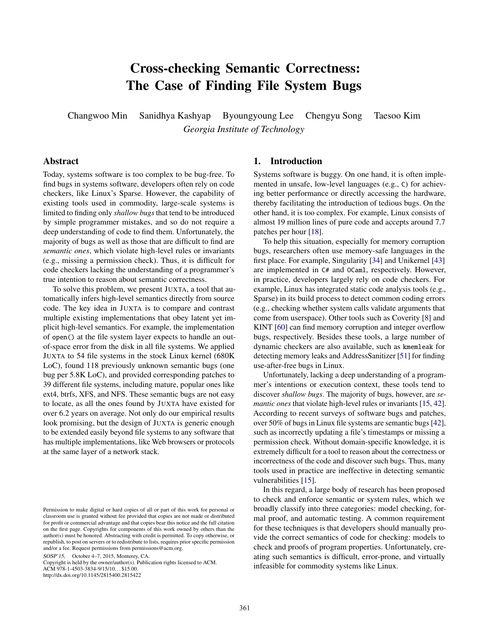# Cross-checking Semantic Correctness: The Case of Finding File System Bugs

Changwoo Min Sanidhya Kashyap Byoungyoung Lee Chengyu Song Taesoo Kim *Georgia Institute of Technology*

# Abstract

Today, systems software is too complex to be bug-free. To find bugs in systems software, developers often rely on code checkers, like Linux's Sparse. However, the capability of existing tools used in commodity, large-scale systems is limited to finding only *shallow bugs* that tend to be introduced by simple programmer mistakes, and so do not require a deep understanding of code to find them. Unfortunately, the majority of bugs as well as those that are difficult to find are *semantic ones*, which violate high-level rules or invariants (e.g., missing a permission check). Thus, it is difficult for code checkers lacking the understanding of a programmer's true intention to reason about semantic correctness.

To solve this problem, we present JUXTA, a tool that automatically infers high-level semantics directly from source code. The key idea in JUXTA is to compare and contrast multiple existing implementations that obey latent yet implicit high-level semantics. For example, the implementation of open() at the file system layer expects to handle an outof-space error from the disk in all file systems. We applied JUXTA to 54 file systems in the stock Linux kernel (680K LoC), found 118 previously unknown semantic bugs (one bug per 5.8K LoC), and provided corresponding patches to 39 different file systems, including mature, popular ones like ext4, btrfs, XFS, and NFS. These semantic bugs are not easy to locate, as all the ones found by JUXTA have existed for over 6.2 years on average. Not only do our empirical results look promising, but the design of JUXTA is generic enough to be extended easily beyond file systems to any software that has multiple implementations, like Web browsers or protocols at the same layer of a network stack.

SOSP'15, October 4–7, 2015, Monterey, CA.

Copyright is held by the owner/author(s). Publication rights licensed to ACM. ACM 978-1-4503-3834-9/15/10. . . \$15.00. http://dx.doi.org/10.1145/2815400.2815422

# 1. Introduction

Systems software is buggy. On one hand, it is often implemented in unsafe, low-level languages (e.g., C) for achieving better performance or directly accessing the hardware, thereby facilitating the introduction of tedious bugs. On the other hand, it is too complex. For example, Linux consists of almost 19 million lines of pure code and accepts around 7.7 patches per hour [\[18\]](#page-14-0).

To help this situation, especially for memory corruption bugs, researchers often use memory-safe languages in the first place. For example, Singularity [\[34\]](#page-14-1) and Unikernel [\[43\]](#page-15-0) are implemented in C# and OCaml, respectively. However, in practice, developers largely rely on code checkers. For example, Linux has integrated static code analysis tools (e.g., Sparse) in its build process to detect common coding errors (e.g., checking whether system calls validate arguments that come from userspace). Other tools such as Coverity [\[8\]](#page-13-0) and KINT [\[60\]](#page-15-1) can find memory corruption and integer overflow bugs, respectively. Besides these tools, a large number of dynamic checkers are also available, such as kmemleak for detecting memory leaks and AddressSanitizer [\[51\]](#page-15-2) for finding use-after-free bugs in Linux.

Unfortunately, lacking a deep understanding of a programmer's intentions or execution context, these tools tend to discover *shallow bugs*. The majority of bugs, however, are *semantic ones* that violate high-level rules or invariants [\[15,](#page-14-2) [42\]](#page-15-3). According to recent surveys of software bugs and patches, over 50% of bugs in Linux file systems are semantic bugs [\[42\]](#page-15-3), such as incorrectly updating a file's timestamps or missing a permission check. Without domain-specific knowledge, it is extremely difficult for a tool to reason about the correctness or incorrectness of the code and discover such bugs. Thus, many tools used in practice are ineffective in detecting semantic vulnerabilities [\[15\]](#page-14-2).

In this regard, a large body of research has been proposed to check and enforce semantic or system rules, which we broadly classify into three categories: model checking, formal proof, and automatic testing. A common requirement for these techniques is that developers should manually provide the correct semantics of code for checking: models to check and proofs of program properties. Unfortunately, creating such semantics is difficult, error-prone, and virtually infeasible for commodity systems like Linux.

Permission to make digital or hard copies of all or part of this work for personal or classroom use is granted without fee provided that copies are not made or distributed for profit or commercial advantage and that copies bear this notice and the full citation on the first page. Copyrights for components of this work owned by others than the author(s) must be honored. Abstracting with credit is permitted. To copy otherwise, or republish, to post on servers or to redistribute to lists, requires prior specific permission and/or a fee. Request permissions from permissions@acm.org.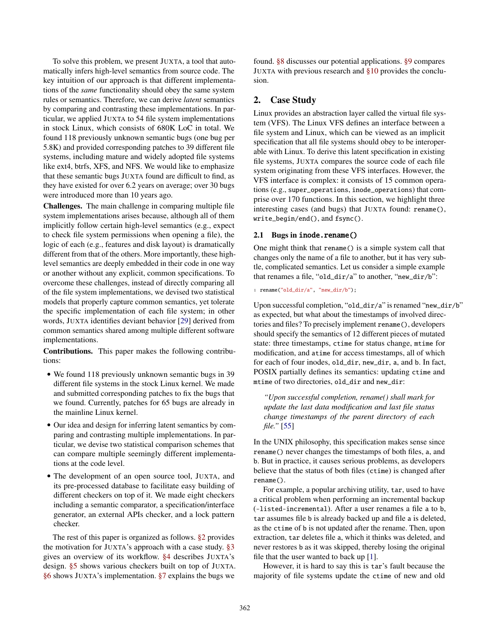To solve this problem, we present JUXTA, a tool that automatically infers high-level semantics from source code. The key intuition of our approach is that different implementations of the *same* functionality should obey the same system rules or semantics. Therefore, we can derive *latent* semantics by comparing and contrasting these implementations. In particular, we applied JUXTA to 54 file system implementations in stock Linux, which consists of 680K LoC in total. We found 118 previously unknown semantic bugs (one bug per 5.8K) and provided corresponding patches to 39 different file systems, including mature and widely adopted file systems like ext4, btrfs, XFS, and NFS. We would like to emphasize that these semantic bugs JUXTA found are difficult to find, as they have existed for over 6.2 years on average; over 30 bugs were introduced more than 10 years ago.

Challenges. The main challenge in comparing multiple file system implementations arises because, although all of them implicitly follow certain high-level semantics (e.g., expect to check file system permissions when opening a file), the logic of each (e.g., features and disk layout) is dramatically different from that of the others. More importantly, these highlevel semantics are deeply embedded in their code in one way or another without any explicit, common specifications. To overcome these challenges, instead of directly comparing all of the file system implementations, we devised two statistical models that properly capture common semantics, yet tolerate the specific implementation of each file system; in other words, JUXTA identifies deviant behavior [\[29\]](#page-14-3) derived from common semantics shared among multiple different software implementations.

Contributions. This paper makes the following contributions:

- We found 118 previously unknown semantic bugs in 39 different file systems in the stock Linux kernel. We made and submitted corresponding patches to fix the bugs that we found. Currently, patches for 65 bugs are already in the mainline Linux kernel.
- Our idea and design for inferring latent semantics by comparing and contrasting multiple implementations. In particular, we devise two statistical comparison schemes that can compare multiple seemingly different implementations at the code level.
- The development of an open source tool, JUXTA, and its pre-processed database to facilitate easy building of different checkers on top of it. We made eight checkers including a semantic comparator, a specification/interface generator, an external APIs checker, and a lock pattern checker.

The rest of this paper is organized as follows. [§2](#page-1-0) provides the motivation for JUXTA's approach with a case study. [§3](#page-3-0) gives an overview of its workflow. [§4](#page-3-1) describes JUXTA's design. [§5](#page-6-0) shows various checkers built on top of JUXTA. [§6](#page-8-0) shows JUXTA's implementation. [§7](#page-8-1) explains the bugs we

found. [§8](#page-12-0) discusses our potential applications. [§9](#page-12-1) compares JUXTA with previous research and [§10](#page-13-1) provides the conclusion.

# <span id="page-1-0"></span>2. Case Study

Linux provides an abstraction layer called the virtual file system (VFS). The Linux VFS defines an interface between a file system and Linux, which can be viewed as an implicit specification that all file systems should obey to be interoperable with Linux. To derive this latent specification in existing file systems, JUXTA compares the source code of each file system originating from these VFS interfaces. However, the VFS interface is complex: it consists of 15 common operations (e.g., super\_operations, inode\_operations) that comprise over 170 functions. In this section, we highlight three interesting cases (and bugs) that JUXTA found: rename(), write\_begin/end(), and fsync().

#### <span id="page-1-1"></span>2.1 Bugs in inode.rename()

One might think that rename() is a simple system call that changes only the name of a file to another, but it has very subtle, complicated semantics. Let us consider a simple example that renames a file, "old\_dir/a" to another, "new\_dir/b":

1 rename("old\_dir/a", "new\_dir/b");

Upon successful completion, "old\_dir/a" is renamed "new\_dir/b" as expected, but what about the timestamps of involved directories and files? To precisely implement rename(), developers should specify the semantics of 12 different pieces of mutated state: three timestamps, ctime for status change, mtime for modification, and atime for access timestamps, all of which for each of four inodes, old\_dir, new\_dir, a, and b. In fact, POSIX partially defines its semantics: updating ctime and mtime of two directories, old\_dir and new\_dir:

*"Upon successful completion, rename() shall mark for update the last data modification and last file status change timestamps of the parent directory of each file."* [\[55\]](#page-15-4)

In the UNIX philosophy, this specification makes sense since rename() never changes the timestamps of both files, a, and b. But in practice, it causes serious problems, as developers believe that the status of both files (ctime) is changed after rename().

For example, a popular archiving utility, tar, used to have a critical problem when performing an incremental backup (–listed-incremental). After a user renames a file a to b, tar assumes file b is already backed up and file a is deleted, as the ctime of b is not updated after the rename. Then, upon extraction, tar deletes file a, which it thinks was deleted, and never restores b as it was skipped, thereby losing the original file that the user wanted to back up [\[1\]](#page-13-2).

However, it is hard to say this is tar's fault because the majority of file systems update the ctime of new and old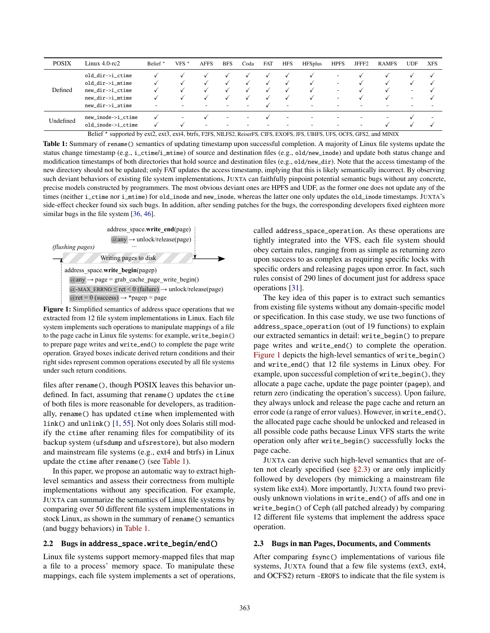<span id="page-2-0"></span>

| <b>POSIX</b> | Linux 4.0-rc2      | Belief $*$               | VFS $*$                  | <b>AFFS</b>              | <b>BFS</b>               | Coda                     | <b>FAT</b>               | <b>HFS</b>               | <b>HFSplus</b>           | <b>HPFS</b>              | JFFF <sub>2</sub>        | <b>RAMFS</b>             | <b>UDF</b> | <b>XFS</b> |
|--------------|--------------------|--------------------------|--------------------------|--------------------------|--------------------------|--------------------------|--------------------------|--------------------------|--------------------------|--------------------------|--------------------------|--------------------------|------------|------------|
|              | old_dir->i_ctime   |                          |                          |                          |                          |                          |                          |                          |                          | ۰                        |                          |                          |            |            |
|              | old_dir->i_mtime   |                          |                          |                          |                          | $\sqrt{ }$               |                          |                          | $\cdot$                  | -                        |                          |                          |            |            |
| Defined      | new_dir->i_ctime   |                          |                          |                          |                          |                          |                          |                          |                          | ۰                        |                          |                          | ۰          |            |
|              | new_dir->i_mtime   |                          |                          |                          |                          |                          |                          |                          |                          | -                        |                          |                          | ۰          |            |
|              | new_dir->i_atime   | $\overline{\phantom{a}}$ | $\overline{\phantom{a}}$ | $\overline{\phantom{a}}$ | $\overline{\phantom{a}}$ | $\overline{\phantom{a}}$ |                          | $\overline{\phantom{a}}$ | $\overline{\phantom{0}}$ | $\overline{\phantom{a}}$ | -                        | $\overline{\phantom{a}}$ | -          |            |
| Undefined    | new_inode->i_ctime |                          | $\overline{\phantom{a}}$ |                          | $\overline{\phantom{a}}$ | $\overline{\phantom{a}}$ |                          | $\overline{\phantom{a}}$ | $\overline{\phantom{0}}$ | ۰                        | $\overline{\phantom{a}}$ | $\overline{\phantom{a}}$ |            |            |
|              | old inode->i ctime |                          |                          | $\overline{\phantom{a}}$ | $\overline{\phantom{a}}$ | $\overline{\phantom{a}}$ | $\overline{\phantom{a}}$ | $\overline{\phantom{a}}$ | $\overline{\phantom{0}}$ | ۰                        | $\overline{\phantom{a}}$ |                          |            |            |

Belief \* supported by ext2, ext3, ext4, btrfs, F2FS, NILFS2, ReiserFS, CIFS, EXOFS, JFS, UBIFS, UFS, OCFS, GFS2, and MINIX

Table 1: Summary of rename() semantics of updating timestamp upon successful completion. A majority of Linux file systems update the status change timestamp (e.g., i\_ctime/i\_mtime) of source and destination files (e.g., old/new\_inode) and update both status change and modification timestamps of both directories that hold source and destination files (e.g., old/new\_dir). Note that the access timestamp of the new directory should not be updated; only FAT updates the access timestamp, implying that this is likely semantically incorrect. By observing such deviant behaviors of existing file system implementations, JUXTA can faithfully pinpoint potential semantic bugs without any concrete, precise models constructed by programmers. The most obvious deviant ones are HPFS and UDF, as the former one does not update any of the times (neither i\_ctime nor i\_mtime) for old\_inode and new\_inode, whereas the latter one only updates the old\_inode timestamps. JUXTA's side-effect checker found six such bugs. In addition, after sending patches for the bugs, the corresponding developers fixed eighteen more similar bugs in the file system [\[36,](#page-14-4) [46\]](#page-15-5).

<span id="page-2-1"></span>

Figure 1: Simplified semantics of address space operations that we extracted from 12 file system implementations in Linux. Each file system implements such operations to manipulate mappings of a file to the page cache in Linux file systems: for example, write\_begin() to prepare page writes and write\_end() to complete the page write operation. Grayed boxes indicate derived return conditions and their right sides represent common operations executed by all file systems under such return conditions.

files after rename(), though POSIX leaves this behavior undefined. In fact, assuming that rename() updates the ctime of both files is more reasonable for developers, as traditionally, rename() has updated ctime when implemented with link() and unlink() [\[1,](#page-13-2) [55\]](#page-15-4). Not only does Solaris still modify the ctime after renaming files for compatibility of its backup system (ufsdump and ufsrestore), but also modern and mainstream file systems (e.g., ext4 and btrfs) in Linux update the ctime after rename() (see [Table 1\)](#page-2-0).

In this paper, we propose an automatic way to extract highlevel semantics and assess their correctness from multiple implementations without any specification. For example, JUXTA can summarize the semantics of Linux file systems by comparing over 50 different file system implementations in stock Linux, as shown in the summary of rename() semantics (and buggy behaviors) in [Table 1.](#page-2-0)

## <span id="page-2-3"></span>2.2 Bugs in address\_space.write\_begin/end()

Linux file systems support memory-mapped files that map a file to a process' memory space. To manipulate these mappings, each file system implements a set of operations, called address\_space\_operation. As these operations are tightly integrated into the VFS, each file system should obey certain rules, ranging from as simple as returning zero upon success to as complex as requiring specific locks with specific orders and releasing pages upon error. In fact, such rules consist of 290 lines of document just for address space operations [\[31\]](#page-14-5).

The key idea of this paper is to extract such semantics from existing file systems without any domain-specific model or specification. In this case study, we use two functions of address\_space\_operation (out of 19 functions) to explain our extracted semantics in detail: write\_begin() to prepare page writes and write\_end() to complete the operation. [Figure 1](#page-2-1) depicts the high-level semantics of write\_begin() and write\_end() that 12 file systems in Linux obey. For example, upon successful completion of write\_begin(), they allocate a page cache, update the page pointer (pagep), and return zero (indicating the operation's success). Upon failure, they always unlock and release the page cache and return an error code (a range of error values). However, in write\_end(), the allocated page cache should be unlocked and released in all possible code paths because Linux VFS starts the write operation only after write\_begin() successfully locks the page cache.

JUXTA can derive such high-level semantics that are often not clearly specified (see  $\S 2.3$ ) or are only implicitly followed by developers (by mimicking a mainstream file system like ext4). More importantly, JUXTA found two previously unknown violations in write\_end() of affs and one in write\_begin() of Ceph (all patched already) by comparing 12 different file systems that implement the address space operation.

#### <span id="page-2-2"></span>2.3 Bugs in man Pages, Documents, and Comments

After comparing fsync() implementations of various file systems, JUXTA found that a few file systems (ext3, ext4, and OCFS2) return -EROFS to indicate that the file system is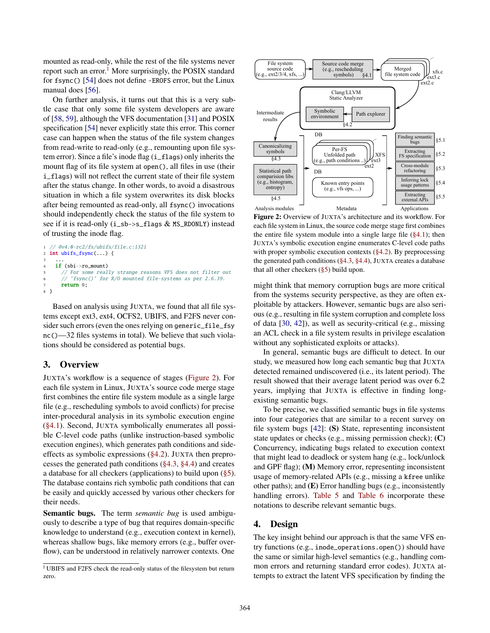mounted as read-only, while the rest of the file systems never report such an error.<sup>[1](#page-3-2)</sup> More surprisingly, the POSIX standard for fsync() [\[54\]](#page-15-6) does not define -EROFS error, but the Linux manual does [\[56\]](#page-15-7).

On further analysis, it turns out that this is a very subtle case that only some file system developers are aware of [\[58,](#page-15-8) [59\]](#page-15-9), although the VFS documentation [\[31\]](#page-14-5) and POSIX specification [\[54\]](#page-15-6) never explicitly state this error. This corner case can happen when the status of the file system changes from read-write to read-only (e.g., remounting upon file system error). Since a file's inode flag (i\_flags) only inherits the mount flag of its file system at open(), all files in use (their i\_flags) will not reflect the current state of their file system after the status change. In other words, to avoid a disastrous situation in which a file system overwrites its disk blocks after being remounted as read-only, all fsync() invocations should independently check the status of the file system to see if it is read-only (i\_sb->s\_flags & MS\_RDONLY) instead of trusting the inode flag.

```
// @v4.0-rc2/fs/ubifs/file.c:1321
2 int ubifs_fsync(...) {
3 ...
4 if (sbi->ro_mount)
      // For some really strange reasons VFS does not filter out
6 // 'fsync()' for R/O mounted file-systems as per 2.6.39.
     return 0;
8 }
```
Based on analysis using JUXTA, we found that all file systems except ext3, ext4, OCFS2, UBIFS, and F2FS never consider such errors (even the ones relying on generic\_file\_fsy nc()—32 files systems in total). We believe that such violations should be considered as potential bugs.

# <span id="page-3-0"></span>3. Overview

JUXTA's workflow is a sequence of stages [\(Figure 2\)](#page-3-3). For each file system in Linux, JUXTA's source code merge stage first combines the entire file system module as a single large file (e.g., rescheduling symbols to avoid conflicts) for precise inter-procedural analysis in its symbolic execution engine [\(§4.1\)](#page-4-0). Second, JUXTA symbolically enumerates all possible C-level code paths (unlike instruction-based symbolic execution engines), which generates path conditions and sideeffects as symbolic expressions [\(§4.2\)](#page-4-1). JUXTA then preprocesses the generated path conditions [\(§4.3,](#page-4-2) [§4.4\)](#page-5-0) and creates a database for all checkers (applications) to build upon [\(§5\)](#page-6-0). The database contains rich symbolic path conditions that can be easily and quickly accessed by various other checkers for their needs.

Semantic bugs. The term *semantic bug* is used ambiguously to describe a type of bug that requires domain-specific knowledge to understand (e.g., execution context in kernel), whereas shallow bugs, like memory errors (e.g., buffer overflow), can be understood in relatively narrower contexts. One

<span id="page-3-3"></span>

Figure 2: Overview of JUXTA's architecture and its workflow. For each file system in Linux, the source code merge stage first combines the entire file system module into a single large file  $(\S 4.1)$ ; then JUXTA's symbolic execution engine enumerates C-level code paths with proper symbolic execution contexts [\(§4.2\)](#page-4-1). By preprocessing the generated path conditions [\(§4.3,](#page-4-2) [§4.4\)](#page-5-0), JUXTA creates a database that all other checkers [\(§5\)](#page-6-0) build upon.

might think that memory corruption bugs are more critical from the systems security perspective, as they are often exploitable by attackers. However, semantic bugs are also serious (e.g., resulting in file system corruption and complete loss of data [\[30,](#page-14-6) [42\]](#page-15-3)), as well as security-critical (e.g., missing an ACL check in a file system results in privilege escalation without any sophisticated exploits or attacks).

In general, semantic bugs are difficult to detect. In our study, we measured how long each semantic bug that JUXTA detected remained undiscovered (i.e., its latent period). The result showed that their average latent period was over 6.2 years, implying that JUXTA is effective in finding longexisting semantic bugs.

To be precise, we classified semantic bugs in file systems into four categories that are similar to a recent survey on file system bugs [\[42\]](#page-15-3): (S) State, representing inconsistent state updates or checks (e.g., missing permission check); (C) Concurrency, indicating bugs related to execution context that might lead to deadlock or system hang (e.g., lock/unlock and GPF flag); (M) Memory error, representing inconsistent usage of memory-related APIs (e.g., missing a kfree unlike other paths); and (E) Error handling bugs (e.g., inconsistently handling errors). [Table 5](#page-9-0) and [Table 6](#page-10-0) incorporate these notations to describe relevant semantic bugs.

## <span id="page-3-1"></span>4. Design

The key insight behind our approach is that the same VFS entry functions (e.g., inode\_operations.open()) should have the same or similar high-level semantics (e.g., handling common errors and returning standard error codes). JUXTA attempts to extract the latent VFS specification by finding the

<span id="page-3-2"></span><sup>1</sup> UBIFS and F2FS check the read-only status of the filesystem but return zero.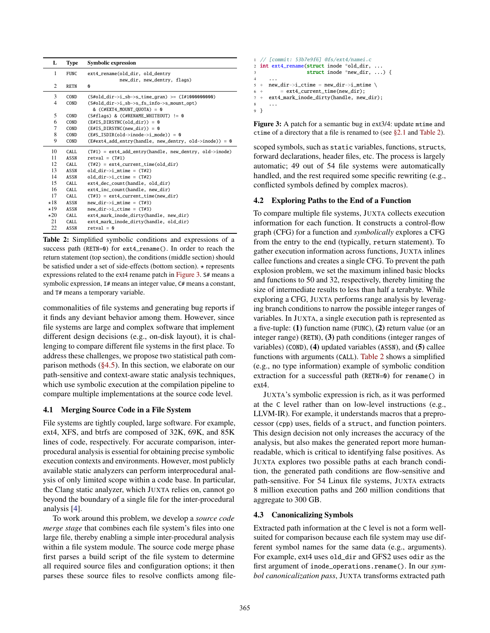<span id="page-4-4"></span>

| L              | <b>Type</b> | <b>Symbolic expression</b>                                                    |
|----------------|-------------|-------------------------------------------------------------------------------|
| 1              | <b>FUNC</b> | ext4_rename(old_dir, old_dentry                                               |
|                |             | new_dir, new_dentry, flags)                                                   |
| 2              | <b>RETN</b> | Ø                                                                             |
| 3              | COND        | $(S#old\_dir \rightarrow i\_sb \rightarrow s\_time\_gran)$ $>=(I#1000000000)$ |
| 4              | COND        | (S#old_dir->i_sb->s_fs_info->s_mount_opt)                                     |
|                |             | & $(C#EXT4$ MOUNT OUOTA) = 0                                                  |
| 5              | <b>COND</b> | (S#flags) & (C#RENAME_WHITEOUT) != 0                                          |
| 6              | COND        | $(E\#IS_DIRSYNC(old\_dir)) = 0$                                               |
| $\overline{7}$ | COND        | $(E\#IS_DIRSYNC(new-dir)) = 0$                                                |
| 8              | <b>COND</b> | $(E#S$ ISDIR(old->inode->i mode)) = 0                                         |
| 9              | COND        | (E#ext4_add_entry(handle, new_dentry, old->inode)) = 0                        |
| 10             | CALL.       | $(T#1)$ = ext4_add_entry(handle, new_dentry, old->inode)                      |
| 11             | <b>ASSN</b> | $retval = (T#1)$                                                              |
| 12             | CALL        | $(T#2) = ext4_current_time(old-dir)$                                          |
| 13             | <b>ASSN</b> | $old\_dir \rightarrow i\_mtime = (T#2)$                                       |
| 14             | <b>ASSN</b> | old dir->i ctime = $(T#2)$                                                    |
| 15             | CALL.       | ext4_dec_count(handle, old_dir)                                               |
| 16             | CALL        | ext4_inc_count(handle, new_dir)                                               |
| 17             | CALL.       | $(T#3) = ext4_current_time(new-dir)$                                          |
| $\star$ 18     | <b>ASSN</b> | new dir->i mtime = $(T#3)$                                                    |
| $\star$ 19     | <b>ASSN</b> | new dir->i ctime = $(T#3)$                                                    |
| $\star 20$     | CALL.       | ext4_mark_inode_dirty(handle, new_dir)                                        |
| 21             | CALL        | ext4_mark_inode_dirty(handle, old_dir)                                        |
| 22             | <b>ASSN</b> | $retval = 0$                                                                  |

Table 2: Simplified symbolic conditions and expressions of a success path (RETN=0) for ext4\_rename(). In order to reach the return statement (top section), the conditions (middle section) should be satisfied under a set of side-effects (bottom section).  $\star$  represents expressions related to the ext4 rename patch in [Figure 3.](#page-4-3) S# means a symbolic expression,  $I#$  means an integer value,  $C#$  means a constant, and T# means a temporary variable.

commonalities of file systems and generating bug reports if it finds any deviant behavior among them. However, since file systems are large and complex software that implement different design decisions (e.g., on-disk layout), it is challenging to compare different file systems in the first place. To address these challenges, we propose two statistical path comparison methods [\(§4.5\)](#page-5-1). In this section, we elaborate on our path-sensitive and context-aware static analysis techniques, which use symbolic execution at the compilation pipeline to compare multiple implementations at the source code level.

## <span id="page-4-0"></span>4.1 Merging Source Code in a File System

File systems are tightly coupled, large software. For example, ext4, XFS, and btrfs are composed of 32K, 69K, and 85K lines of code, respectively. For accurate comparison, interprocedural analysis is essential for obtaining precise symbolic execution contexts and environments. However, most publicly available static analyzers can perform interprocedural analysis of only limited scope within a code base. In particular, the Clang static analyzer, which JUXTA relies on, cannot go beyond the boundary of a single file for the inter-procedural analysis [\[4\]](#page-13-3).

To work around this problem, we develop a *source code merge stage* that combines each file system's files into one large file, thereby enabling a simple inter-procedural analysis within a file system module. The source code merge phase first parses a build script of the file system to determine all required source files and configuration options; it then parses these source files to resolve conflicts among file-

```
1 // [commit: 53b7e9f6] @fs/ext4/namei.c
2 int ext4_rename(struct inode *old_dir, ...
3 struct inode *new_dir, ...) {
4 ...
5 + new dir->i ctime = new dir->i mtime \
6 + = ext4_current_time(new_dir);
7 + ext4_mark_inode_dirty(handle, new_dir);
8 ...
9 }
```
Figure 3: A patch for a semantic bug in ext3/4: update mtime and ctime of a directory that a file is renamed to (see [§2.1](#page-1-1) and [Table 2\)](#page-4-4).

scoped symbols, such as static variables, functions, structs, forward declarations, header files, etc. The process is largely automatic; 49 out of 54 file systems were automatically handled, and the rest required some specific rewriting (e.g., conflicted symbols defined by complex macros).

## <span id="page-4-1"></span>4.2 Exploring Paths to the End of a Function

To compare multiple file systems, JUXTA collects execution information for each function. It constructs a control-flow graph (CFG) for a function and *symbolically* explores a CFG from the entry to the end (typically, return statement). To gather execution information across functions, JUXTA inlines callee functions and creates a single CFG. To prevent the path explosion problem, we set the maximum inlined basic blocks and functions to 50 and 32, respectively, thereby limiting the size of intermediate results to less than half a terabyte. While exploring a CFG, JUXTA performs range analysis by leveraging branch conditions to narrow the possible integer ranges of variables. In JUXTA, a single execution path is represented as a five-tuple: (1) function name (FUNC), (2) return value (or an integer range) (RETN), (3) path conditions (integer ranges of variables) (COND), (4) updated variables (ASSN), and (5) callee functions with arguments (CALL). [Table 2](#page-4-4) shows a simplified (e.g., no type information) example of symbolic condition extraction for a successful path (RETN=0) for rename() in ext4.

JUXTA's symbolic expression is rich, as it was performed at the C level rather than on low-level instructions (e.g., LLVM-IR). For example, it understands macros that a preprocessor (cpp) uses, fields of a struct, and function pointers. This design decision not only increases the accuracy of the analysis, but also makes the generated report more humanreadable, which is critical to identifying false positives. As JUXTA explores two possible paths at each branch condition, the generated path conditions are flow-sensitive and path-sensitive. For 54 Linux file systems, JUXTA extracts 8 million execution paths and 260 million conditions that aggregate to 300 GB.

## <span id="page-4-2"></span>4.3 Canonicalizing Symbols

Extracted path information at the C level is not a form wellsuited for comparison because each file system may use different symbol names for the same data (e.g., arguments). For example, ext4 uses old\_dir and GFS2 uses odir as the first argument of inode\_operations.rename(). In our *symbol canonicalization pass*, JUXTA transforms extracted path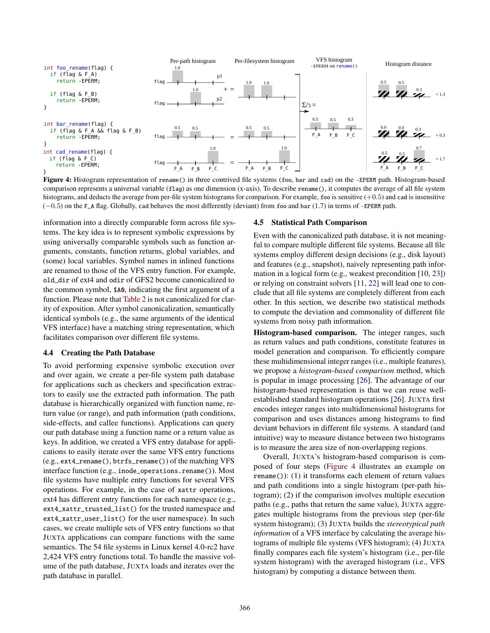<span id="page-5-2"></span>

Figure 4: Histogram representation of rename() in three contrived file systems (foo, bar and cad) on the -EPERM path. Histogram-based comparison represents a universal variable (flag) as one dimension (x-axis). To describe rename(), it computes the average of all file system histograms, and deducts the average from per-file system histograms for comparison. For example, foo is sensitive (+0.5) and cad is insensitive (−0.5) on the F\_A flag. Globally, cad behaves the most differently (deviant) from foo and bar (1.7) in terms of -EPERM path.

information into a directly comparable form across file systems. The key idea is to represent symbolic expressions by using universally comparable symbols such as function arguments, constants, function returns, global variables, and (some) local variables. Symbol names in inlined functions are renamed to those of the VFS entry function. For example, old\_dir of ext4 and odir of GFS2 become canonicalized to the common symbol, \$A0, indicating the first argument of a function. Please note that [Table 2](#page-4-4) is not canonicalized for clarity of exposition. After symbol canonicalization, semantically identical symbols (e.g., the same arguments of the identical VFS interface) have a matching string representation, which facilitates comparison over different file systems.

#### <span id="page-5-0"></span>4.4 Creating the Path Database

To avoid performing expensive symbolic execution over and over again, we create a per-file system path database for applications such as checkers and specification extractors to easily use the extracted path information. The path database is hierarchically organized with function name, return value (or range), and path information (path conditions, side-effects, and callee functions). Applications can query our path database using a function name or a return value as keys. In addition, we created a VFS entry database for applications to easily iterate over the same VFS entry functions (e.g., ext4\_rename(), btrfs\_rename()) of the matching VFS interface function (e.g., inode\_operations.rename()). Most file systems have multiple entry functions for several VFS operations. For example, in the case of xattr operations, ext4 has different entry functions for each namespace (e.g., ext4\_xattr\_trusted\_list() for the trusted namespace and ext4\_xattr\_user\_list() for the user namespace). In such cases, we create multiple sets of VFS entry functions so that JUXTA applications can compare functions with the same semantics. The 54 file systems in Linux kernel 4.0-rc2 have 2,424 VFS entry functions total. To handle the massive volume of the path database, JUXTA loads and iterates over the path database in parallel.

#### <span id="page-5-1"></span>4.5 Statistical Path Comparison

Even with the canonicalized path database, it is not meaningful to compare multiple different file systems. Because all file systems employ different design decisions (e.g., disk layout) and features (e.g., snapshot), naively representing path information in a logical form (e.g., weakest precondition [\[10,](#page-13-4) [23\]](#page-14-7)) or relying on constraint solvers [\[11,](#page-14-8) [22\]](#page-14-9) will lead one to conclude that all file systems are completely different from each other. In this section, we describe two statistical methods to compute the deviation and commonality of different file systems from noisy path information.

Histogram-based comparison. The integer ranges, such as return values and path conditions, constitute features in model generation and comparison. To efficiently compare these multidimensional integer ranges (i.e., multiple features), we propose a *histogram-based comparison* method, which is popular in image processing [\[26\]](#page-14-10). The advantage of our histogram-based representation is that we can reuse wellestablished standard histogram operations [\[26\]](#page-14-10). JUXTA first encodes integer ranges into multidimensional histograms for comparison and uses distances among histograms to find deviant behaviors in different file systems. A standard (and intuitive) way to measure distance between two histograms is to measure the area size of non-overlapping regions.

Overall, JUXTA's histogram-based comparison is composed of four steps [\(Figure 4](#page-5-2) illustrates an example on rename()): (1) it transforms each element of return values and path conditions into a single histogram (per-path histogram); (2) if the comparison involves multiple execution paths (e.g., paths that return the same value), JUXTA aggregates multiple histograms from the previous step (per-file system histogram); (3) JUXTA builds the *stereotypical path information* of a VFS interface by calculating the average histograms of multiple file systems (VFS histogram); (4) JUXTA finally compares each file system's histogram (i.e., per-file system histogram) with the averaged histogram (i.e., VFS histogram) by computing a distance between them.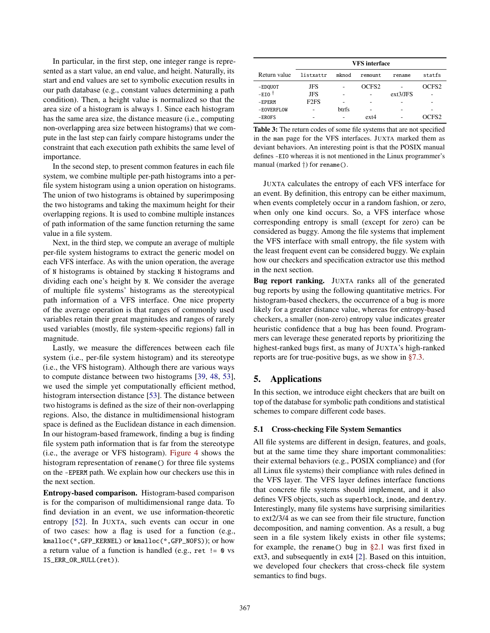In particular, in the first step, one integer range is represented as a start value, an end value, and height. Naturally, its start and end values are set to symbolic execution results in our path database (e.g., constant values determining a path condition). Then, a height value is normalized so that the area size of a histogram is always 1. Since each histogram has the same area size, the distance measure (i.e., computing non-overlapping area size between histograms) that we compute in the last step can fairly compare histograms under the constraint that each execution path exhibits the same level of importance.

In the second step, to present common features in each file system, we combine multiple per-path histograms into a perfile system histogram using a union operation on histograms. The union of two histograms is obtained by superimposing the two histograms and taking the maximum height for their overlapping regions. It is used to combine multiple instances of path information of the same function returning the same value in a file system.

Next, in the third step, we compute an average of multiple per-file system histograms to extract the generic model on each VFS interface. As with the union operation, the average of N histograms is obtained by stacking N histograms and dividing each one's height by N. We consider the average of multiple file systems' histograms as the stereotypical path information of a VFS interface. One nice property of the average operation is that ranges of commonly used variables retain their great magnitudes and ranges of rarely used variables (mostly, file system-specific regions) fall in magnitude.

Lastly, we measure the differences between each file system (i.e., per-file system histogram) and its stereotype (i.e., the VFS histogram). Although there are various ways to compute distance between two histograms [\[39,](#page-15-10) [48,](#page-15-11) [53\]](#page-15-12), we used the simple yet computationally efficient method, histogram intersection distance [\[53\]](#page-15-12). The distance between two histograms is defined as the size of their non-overlapping regions. Also, the distance in multidimensional histogram space is defined as the Euclidean distance in each dimension. In our histogram-based framework, finding a bug is finding file system path information that is far from the stereotype (i.e., the average or VFS histogram). [Figure 4](#page-5-2) shows the histogram representation of rename() for three file systems on the -EPERM path. We explain how our checkers use this in the next section.

Entropy-based comparison. Histogram-based comparison is for the comparison of multidimensional range data. To find deviation in an event, we use information-theoretic entropy [\[52\]](#page-15-13). In JUXTA, such events can occur in one of two cases: how a flag is used for a function (e.g., kmalloc(\*,GFP\_KERNEL) or kmalloc(\*,GFP\_NOFS)); or how a return value of a function is handled (e.g., ret  $!= \mathbf{0}$  vs IS\_ERR\_OR\_NULL(ret)).

<span id="page-6-1"></span>

|                     | <b>VFS</b> interface          |              |                   |          |                   |
|---------------------|-------------------------------|--------------|-------------------|----------|-------------------|
| Return value        | listxattr                     | mknod        | remount           | rename   | statfs            |
| -EDQUOT             | JFS                           |              | OCFS <sub>2</sub> |          | OCFS <sub>2</sub> |
| $-EIO$ <sup>†</sup> | <b>JFS</b>                    |              |                   | ext3/JFS |                   |
| $-EPERM$            | F <sub>2</sub> F <sub>S</sub> |              | ۰                 |          |                   |
| -EOVERFLOW          |                               | <b>btrfs</b> |                   |          |                   |
| $-EROFS$            |                               |              | $ext{2}$          |          | OCFS <sub>2</sub> |

Table 3: The return codes of some file systems that are not specified in the man page for the VFS interfaces. JUXTA marked them as deviant behaviors. An interesting point is that the POSIX manual defines -EIO whereas it is not mentioned in the Linux programmer's manual (marked †) for rename().

JUXTA calculates the entropy of each VFS interface for an event. By definition, this entropy can be either maximum, when events completely occur in a random fashion, or zero, when only one kind occurs. So, a VFS interface whose corresponding entropy is small (except for zero) can be considered as buggy. Among the file systems that implement the VFS interface with small entropy, the file system with the least frequent event can be considered buggy. We explain how our checkers and specification extractor use this method in the next section.

Bug report ranking. JUXTA ranks all of the generated bug reports by using the following quantitative metrics. For histogram-based checkers, the occurrence of a bug is more likely for a greater distance value, whereas for entropy-based checkers, a smaller (non-zero) entropy value indicates greater heuristic confidence that a bug has been found. Programmers can leverage these generated reports by prioritizing the highest-ranked bugs first, as many of JUXTA's high-ranked reports are for true-positive bugs, as we show in [§7.3.](#page-10-1)

# <span id="page-6-0"></span>5. Applications

In this section, we introduce eight checkers that are built on top of the database for symbolic path conditions and statistical schemes to compare different code bases.

#### 5.1 Cross-checking File System Semantics

All file systems are different in design, features, and goals, but at the same time they share important commonalities: their external behaviors (e.g., POSIX compliance) and (for all Linux file systems) their compliance with rules defined in the VFS layer. The VFS layer defines interface functions that concrete file systems should implement, and it also defines VFS objects, such as superblock, inode, and dentry. Interestingly, many file systems have surprising similarities to ext2/3/4 as we can see from their file structure, function decomposition, and naming convention. As a result, a bug seen in a file system likely exists in other file systems; for example, the rename() bug in  $\S 2.1$  was first fixed in ext3, and subsequently in ext4 [\[2\]](#page-13-5). Based on this intuition, we developed four checkers that cross-check file system semantics to find bugs.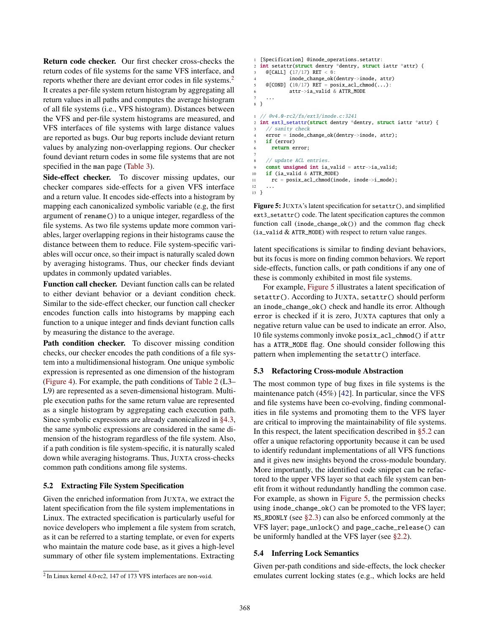Return code checker. Our first checker cross-checks the return codes of file systems for the same VFS interface, and reports whether there are deviant error codes in file systems.<sup>[2](#page-7-0)</sup> It creates a per-file system return histogram by aggregating all return values in all paths and computes the average histogram of all file systems (i.e., VFS histogram). Distances between the VFS and per-file system histograms are measured, and VFS interfaces of file systems with large distance values are reported as bugs. Our bug reports include deviant return values by analyzing non-overlapping regions. Our checker found deviant return codes in some file systems that are not specified in the man page [\(Table 3\)](#page-6-1).

Side-effect checker. To discover missing updates, our checker compares side-effects for a given VFS interface and a return value. It encodes side-effects into a histogram by mapping each canonicalized symbolic variable (e.g, the first argument of rename()) to a unique integer, regardless of the file systems. As two file systems update more common variables, larger overlapping regions in their histograms cause the distance between them to reduce. File system-specific variables will occur once, so their impact is naturally scaled down by averaging histograms. Thus, our checker finds deviant updates in commonly updated variables.

Function call checker. Deviant function calls can be related to either deviant behavior or a deviant condition check. Similar to the side-effect checker, our function call checker encodes function calls into histograms by mapping each function to a unique integer and finds deviant function calls by measuring the distance to the average.

Path condition checker. To discover missing condition checks, our checker encodes the path conditions of a file system into a multidimensional histogram. One unique symbolic expression is represented as one dimension of the histogram [\(Figure 4\)](#page-5-2). For example, the path conditions of [Table 2](#page-4-4) (L3– L9) are represented as a seven-dimensional histogram. Multiple execution paths for the same return value are represented as a single histogram by aggregating each execution path. Since symbolic expressions are already canonicalized in [§4.3,](#page-4-2) the same symbolic expressions are considered in the same dimension of the histogram regardless of the file system. Also, if a path condition is file system-specific, it is naturally scaled down while averaging histograms. Thus, JUXTA cross-checks common path conditions among file systems.

## <span id="page-7-2"></span>5.2 Extracting File System Specification

Given the enriched information from JUXTA, we extract the latent specification from the file system implementations in Linux. The extracted specification is particularly useful for novice developers who implement a file system from scratch, as it can be referred to a starting template, or even for experts who maintain the mature code base, as it gives a high-level summary of other file system implementations. Extracting

```
2
In Linux kernel 4.0-rc2, 147 of 173 VFS interfaces are non-void.
```

```
1 [Specification] @inode_operations.setattr:
2 int setattr(struct dentry *dentry, struct iattr *attr) {
3 @[CALL] (17/17) RET < 0:
4 inode_change_ok(dentry->inode, attr)
5 \mathfrak{A} [COND] (10/17) RET = posix_acl_chmod(...):
6 attr->ia_valid & ATTR_MODE
7 ...
8 }
1 // @v4.0-rc2/fs/ext3/inode.c:3241
  2 int ext3_setattr(struct dentry *dentry, struct iattr *attr) {
    // sanity check
    error = inode_change_ok(dentry->inode, attr);
    if (error)
      return error;
 7
    // update ACL entries.
9 const unsigned int ia_valid = attr->ia_valid;
10 if (ia_valid & ATTR_MODE)
11 rc = posix_acl_chmod(inode, inode->i_mode);
12 ...
```
13 }

Figure 5: JUXTA's latent specification for setattr(), and simplified ext3\_setattr() code. The latent specification captures the common function call (inode\_change\_ok()) and the common flag check (ia\_valid & ATTR\_MODE) with respect to return value ranges.

latent specifications is similar to finding deviant behaviors, but its focus is more on finding common behaviors. We report side-effects, function calls, or path conditions if any one of these is commonly exhibited in most file systems.

For example, [Figure 5](#page-7-1) illustrates a latent specification of setattr(). According to JUXTA, setattr() should perform an inode\_change\_ok() check and handle its error. Although error is checked if it is zero, JUXTA captures that only a negative return value can be used to indicate an error. Also, 10 file systems commonly invoke posix\_acl\_chmod() if attr has a ATTR\_MODE flag. One should consider following this pattern when implementing the setattr() interface.

#### 5.3 Refactoring Cross-module Abstraction

The most common type of bug fixes in file systems is the maintenance patch (45%) [\[42\]](#page-15-3). In particular, since the VFS and file systems have been co-evolving, finding commonalities in file systems and promoting them to the VFS layer are critical to improving the maintainability of file systems. In this respect, the latent specification described in [§5.2](#page-7-2) can offer a unique refactoring opportunity because it can be used to identify redundant implementations of all VFS functions and it gives new insights beyond the cross-module boundary. More importantly, the identified code snippet can be refactored to the upper VFS layer so that each file system can benefit from it without redundantly handling the common case. For example, as shown in [Figure 5,](#page-7-1) the permission checks using inode\_change\_ok() can be promoted to the VFS layer;  $MS\_RDONLY$  (see  $\S2.3$ ) can also be enforced commonly at the VFS layer; page\_unlock() and page\_cache\_release() can be uniformly handled at the VFS layer (see [§2.2\)](#page-2-3).

## 5.4 Inferring Lock Semantics

Given per-path conditions and side-effects, the lock checker emulates current locking states (e.g., which locks are held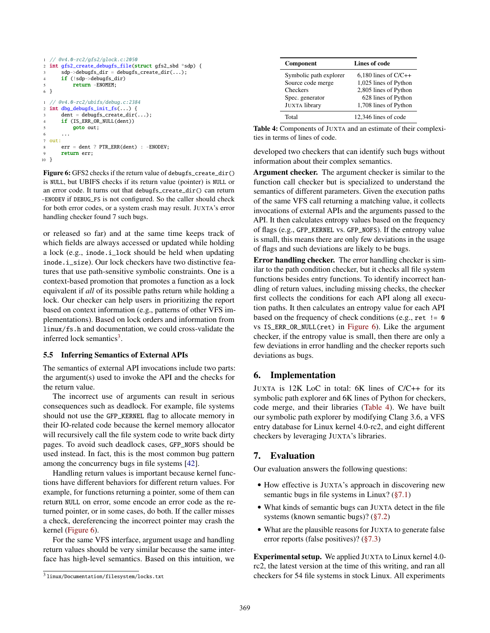```
1 // @v4.0-rc2/gfs2/glock.c:2050
2 int gfs2_create_debugfs_file(struct gfs2_sbd *sdp) {
3 sdp->debugfs_dir = debugfs_create_dir(...);
4 if (!sdp->debugfs_dir)
5 return -ENOMEM;
6 }
1 // @v4.0-rc2/ubifs/debug.c:2384
2 int dbg_debugfs_init_fs(...) {
      dent = debugfs_create_dir(...);
4 if (IS_ERR_OR_NULL(dent))
5 goto out;
\begin{array}{ccc} 6 & & \dots \end{array}7 out:
8 err = dent ? PTR_ERR(dent) : -ENODEV;
      return err;
10 }
```
Figure 6: GFS2 checks if the return value of debugfs\_create\_dir() is NULL, but UBIFS checks if its return value (pointer) is NULL or an error code. It turns out that debugfs\_create\_dir() can return -ENODEV if DEBUG\_FS is not configured. So the caller should check for both error codes, or a system crash may result. JUXTA's error handling checker found 7 such bugs.

or released so far) and at the same time keeps track of which fields are always accessed or updated while holding a lock (e.g., inode.i\_lock should be held when updating inode.i\_size). Our lock checkers have two distinctive features that use path-sensitive symbolic constraints. One is a context-based promotion that promotes a function as a lock equivalent if *all* of its possible paths return while holding a lock. Our checker can help users in prioritizing the report based on context information (e.g., patterns of other VFS implementations). Based on lock orders and information from linux/fs.h and documentation, we could cross-validate the inferred lock semantics<sup>[3](#page-8-2)</sup>.

#### 5.5 Inferring Semantics of External APIs

The semantics of external API invocations include two parts: the argument(s) used to invoke the API and the checks for the return value.

The incorrect use of arguments can result in serious consequences such as deadlock. For example, file systems should not use the GFP\_KERNEL flag to allocate memory in their IO-related code because the kernel memory allocator will recursively call the file system code to write back dirty pages. To avoid such deadlock cases, GFP\_NOFS should be used instead. In fact, this is the most common bug pattern among the concurrency bugs in file systems [\[42\]](#page-15-3).

Handling return values is important because kernel functions have different behaviors for different return values. For example, for functions returning a pointer, some of them can return NULL on error, some encode an error code as the returned pointer, or in some cases, do both. If the caller misses a check, dereferencing the incorrect pointer may crash the kernel [\(Figure 6\)](#page-8-3).

For the same VFS interface, argument usage and handling return values should be very similar because the same interface has high-level semantics. Based on this intuition, we

<span id="page-8-4"></span>

| Component              | Lines of code          |
|------------------------|------------------------|
| Symbolic path explorer | $6,180$ lines of C/C++ |
| Source code merge      | 1,025 lines of Python  |
| Checkers               | 2,805 lines of Python  |
| Spec. generator        | 628 lines of Python    |
| <b>JUXTA</b> library   | 1,708 lines of Python  |
| Total                  | 12,346 lines of code   |

| <b>Table 4:</b> Components of JUXTA and an estimate of their complexi- |  |  |
|------------------------------------------------------------------------|--|--|
| ties in terms of lines of code.                                        |  |  |

developed two checkers that can identify such bugs without information about their complex semantics.

Argument checker. The argument checker is similar to the function call checker but is specialized to understand the semantics of different parameters. Given the execution paths of the same VFS call returning a matching value, it collects invocations of external APIs and the arguments passed to the API. It then calculates entropy values based on the frequency of flags (e.g., GFP\_KERNEL vs. GFP\_NOFS). If the entropy value is small, this means there are only few deviations in the usage of flags and such deviations are likely to be bugs.

Error handling checker. The error handling checker is similar to the path condition checker, but it checks all file system functions besides entry functions. To identify incorrect handling of return values, including missing checks, the checker first collects the conditions for each API along all execution paths. It then calculates an entropy value for each API based on the frequency of check conditions (e.g., ret  $!= \mathbf{0}$ vs IS\_ERR\_OR\_NULL(ret) in [Figure 6\)](#page-8-3). Like the argument checker, if the entropy value is small, then there are only a few deviations in error handling and the checker reports such deviations as bugs.

# <span id="page-8-0"></span>6. Implementation

JUXTA is 12K LoC in total: 6K lines of C/C++ for its symbolic path explorer and 6K lines of Python for checkers, code merge, and their libraries [\(Table 4\)](#page-8-4). We have built our symbolic path explorer by modifying Clang 3.6, a VFS entry database for Linux kernel 4.0-rc2, and eight different checkers by leveraging JUXTA's libraries.

# <span id="page-8-1"></span>7. Evaluation

Our evaluation answers the following questions:

- How effective is JUXTA's approach in discovering new semantic bugs in file systems in Linux? [\(§7.1\)](#page-10-2)
- What kinds of semantic bugs can JUXTA detect in the file systems (known semantic bugs)? [\(§7.2\)](#page-10-3)
- What are the plausible reasons for JUXTA to generate false error reports (false positives)? [\(§7.3\)](#page-10-1)

Experimental setup. We applied JUXTA to Linux kernel 4.0 rc2, the latest version at the time of this writing, and ran all checkers for 54 file systems in stock Linux. All experiments

<span id="page-8-2"></span> $^3$ linux/Documentation/filesystem/locks.txt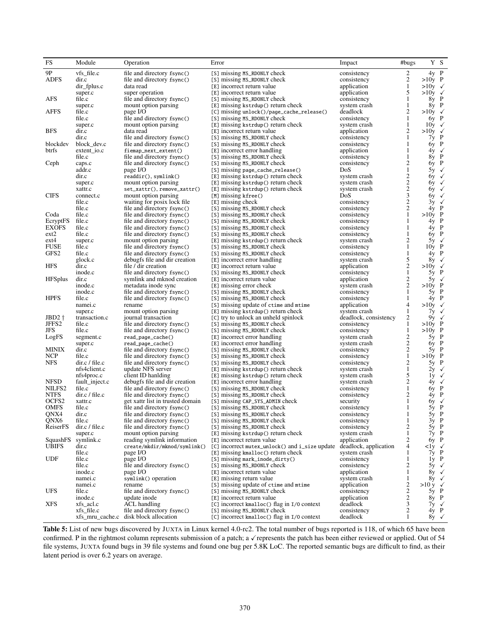<span id="page-9-0"></span>

| FS                               | Module                      | Operation                                                      | Error                                                          | Impact                     | #bugs                                      |                           | Y S              |
|----------------------------------|-----------------------------|----------------------------------------------------------------|----------------------------------------------------------------|----------------------------|--------------------------------------------|---------------------------|------------------|
| 9Ρ                               | $vfs_{\text{file.c}}$       | file and directory fsync()                                     | [S] missing MS_RDONLY check                                    | consistency                | 2                                          | 4y P                      |                  |
| <b>ADFS</b>                      | dir.c                       | file and directory fsync()                                     | [S] missing MS_RDONLY check                                    | consistency                | 2                                          | $>10y$ P                  |                  |
|                                  | dir_fplus.c                 | data read                                                      | [E] incorrect return value                                     | application                | $\mathbf{1}$                               | $>10y \checkmark$         |                  |
|                                  | super.c                     | super operation                                                | [E] incorrect return value                                     | application                | 5                                          | $>10y \checkmark$         |                  |
| AFS                              | file.c                      | file and directory fsync()                                     | [S] missing MS_RDONLY check                                    | consistency                | $\mathbf{1}$                               | 8y P                      |                  |
|                                  | super.c                     | mount option parsing                                           | [E] missing kstrdup() return check                             | system crash               | $\mathbf{1}$                               | 8y P                      |                  |
| <b>AFFS</b>                      | file.c                      | page I/O                                                       | [C] missing unlock()/page_cache_release()                      | deadlock                   | $\overline{c}$                             | $>10y \checkmark$         |                  |
|                                  | file.c                      | file and directory fsync()                                     | [S] missing MS_RDONLY check                                    | consistency                | 1                                          | $6y$ P                    |                  |
|                                  | super.c                     | mount option parsing                                           | [E] missing kstrdup() return check                             | system crash               | $\mathbf{1}$                               | $10y \checkmark$          |                  |
| <b>BFS</b>                       | dir.c                       | data read                                                      | [E] incorrect return value                                     | application                | $\overline{c}$                             | $>10y \checkmark$         |                  |
| blockdev                         | dir.c                       | file and directory fsync()                                     | [S] missing MS_RDONLY check                                    | consistency                | 1<br>1                                     | 7y P<br>$6y$ P            |                  |
| btrfs                            | block_dev.c                 | file and directory fsync()<br>fiemap_next_extent()             | [S] missing MS_RDONLY check<br>[E] incorrect error handling    | consistency<br>application | 1                                          |                           |                  |
|                                  | $extent_io.c$<br>file.c     | file and directory fsync()                                     | [S] missing MS_RDONLY check                                    | consistency                | 1                                          | $8y$ P                    | $4y \checkmark$  |
| Ceph                             | caps.c                      | file and directory fsync()                                     | [S] missing MS_RDONLY check                                    | consistency                | 2                                          | 6y P                      |                  |
|                                  | addr.c                      | page I/O                                                       | [S] missing page_cache_release()                               | DoS                        | $\mathbf{1}$                               |                           | 5y $\checkmark$  |
|                                  | dir.c                       | readdir(), symbolink()                                         | [E] missing kstrdup() return check                             | system crash               | $\boldsymbol{2}$                           |                           | $6y \sqrt{ }$    |
|                                  | super.c                     | mount option parsing                                           | [E] missing kstrdup() return check                             | system crash               | $\overline{\mathbf{c}}$                    | 6y                        | $\checkmark$     |
|                                  | xattr.c                     | set_xattr(), remove_xattr()                                    | [E] missing kstrdup() return check                             | system crash               |                                            | 6y                        | $\checkmark$     |
| <b>CIFS</b>                      | connect.c                   | mount option parsing                                           | [M] missing kfree()                                            | DoS                        | $\frac{2}{3}$                              | 6y                        | $\checkmark$     |
|                                  | file.c                      | waiting for posix lock file                                    | [E] missing check                                              | consistency                | $\overline{\mathbf{c}}$                    | 3y                        | $\checkmark$     |
|                                  | file.c                      | file and directory fsync()                                     | [S] missing MS_RDONLY check                                    | consistency                | $\overline{c}$                             | $4y$ P                    |                  |
| Coda                             | file.c                      | file and directory fsync()                                     | [S] missing MS_RDONLY check                                    | consistency                | $1\,$                                      | $>10y$ P                  |                  |
| EcryptFS                         | file.c                      | file and directory fsync()                                     | [S] missing MS_RDONLY check                                    | consistency                | $\mathbf{1}$                               | $4y$ P                    |                  |
| <b>EXOFS</b>                     | file.c                      | file and directory fsync()                                     | [S] missing MS_RDONLY check                                    | consistency                | 1                                          | $4y$ P                    |                  |
| ext2                             | file.c                      | file and directory fsync()                                     | [S] missing MS_RDONLY check                                    | consistency                | 1                                          | $6y$ P                    |                  |
| $ext{4}$                         | super.c                     | mount option parsing                                           | [E] missing kstrdup() return check                             | system crash               | $\overline{c}$                             | $5y \sqrt{ }$             |                  |
| <b>FUSE</b>                      | file.c                      | file and directory fsync()                                     | [S] missing MS_RDONLY check                                    | consistency                | $\mathbf{1}$                               | $10y$ P                   |                  |
| GFS <sub>2</sub>                 | file.c                      | file and directory fsync()                                     | [S] missing MS_RDONLY check                                    | consistency                | $\mathbf{1}$                               | $4y$ P                    |                  |
|                                  | glock.c                     | debugfs file and dir creation                                  | [E] incorrect error handling                                   | system crash               | 5                                          |                           | $8y \checkmark$  |
| <b>HFS</b>                       | dir.c                       | file / dir creation                                            | [E] incorrect return value                                     | application                | $\overline{c}$                             | $>10y \checkmark$         |                  |
|                                  | inode.c                     | file and directory fsync()                                     | [S] missing MS_RDONLY check                                    | consistency                | $\mathbf{1}$                               | $5y$ P                    |                  |
| <b>HFSplus</b>                   | dir.c<br>inode.c            | symlink and mknod creation                                     | [E] incorrect return value                                     | application                | $\sqrt{2}$<br>$\overline{c}$               | $>10y$ P                  | $5y \sqrt{ }$    |
|                                  | inode.c                     | metadata inode sync                                            | [E] missing error check                                        | system crash               | $\mathbf{1}$                               | 5y P                      |                  |
| <b>HPFS</b>                      | file.c                      | file and directory fsync()<br>file and directory fsync()       | [S] missing MS_RDONLY check<br>[S] missing MS_RDONLY check     | consistency<br>consistency | 1                                          | $4y$ P                    |                  |
|                                  | namei.c                     | rename                                                         | [S] missing update of ctime and mtime                          | application                | 4                                          | $>10y$ $\checkmark$       |                  |
|                                  | super.c                     | mount option parsing                                           | [E] missing kstrdup() return check                             | system crash               | 1                                          |                           | 7у √             |
| $JBD2$ $\dagger$                 | transaction.c               | journal transaction                                            | [C] try to unlock an unheld spinlock                           | deadlock, consistency      | 2                                          |                           | 9γ √             |
| JFFS <sub>2</sub>                | file.c                      | file and directory fsync()                                     | [S] missing MS_RDONLY check                                    | consistency                | 1                                          | $>10y$ P                  |                  |
| JFS                              | file.c                      | file and directory fsync()                                     | [S] missing MS_RDONLY check                                    | consistency                | $\mathbf{1}$                               | $>10y$ P                  |                  |
| LogFS                            | segment.c                   | read_page_cache()                                              | [E] incorrect error handling                                   | system crash               | $\overline{c}$                             | 5y P                      |                  |
|                                  | super.c                     | read_page_cache()                                              | [E] incorrect error handling                                   | system crash               | $\overline{c}$                             | $6y$ P                    |                  |
| MINIX                            | dir.c                       | file and directory fsync()                                     | [S] missing MS_RDONLY check                                    | consistency                | $\begin{smallmatrix}2\\1\end{smallmatrix}$ | $5y$ P                    |                  |
| <b>NCP</b>                       | file.c                      | file and directory fsync()                                     | [S] missing MS_RDONLY check                                    | consistency                |                                            | $>10y$ P                  |                  |
| NFS                              | $dir.c$ / file.c            | file and directory fsync()                                     | [S] missing MS_RDONLY check                                    | consistency                | $\overline{c}$                             | $5y$ P                    |                  |
|                                  | nfs4client.c                | update NFS server                                              | [E] missing kstrdup() return check                             | system crash               | $\mathbf{1}$                               |                           | $2y \sqrt{ }$    |
|                                  | nfs4proc.c                  | client ID hanlding                                             | [E] missing kstrdup() return check                             | system crash               | 5                                          |                           | $1y \checkmark$  |
| NFSD                             | fault_inject.c              | debugfs file and dir creation                                  | [E] incorrect error handling                                   | system crash               | $\overline{c}$                             |                           | $4y \checkmark$  |
| NILFS <sub>2</sub>               | file.c                      | file and directory fsync()                                     | [S] missing MS_RDONLY check                                    | consistency                | $\mathbf{1}$                               | 6y P                      |                  |
| <b>NTFS</b><br>OCFS <sub>2</sub> | $dir.c$ / file.c<br>xattr.c | file and directory fsync()<br>get xattr list in trusted domain | [S] missing MS_RDONLY check                                    | consistency                | 2<br>1                                     | $4y$ P                    | $6y \sqrt{ }$    |
| <b>OMFS</b>                      | file.c                      | file and directory fsync()                                     | [S] missing CAP_SYS_ADMIN check<br>[S] missing MS_RDONLY check | security<br>consistency    | $\mathbf{1}$                               | 5y P                      |                  |
| QNX4                             | dir.c                       | file and directory fsync()                                     | [S] missing MS_RDONLY check                                    | consistency                | 1                                          | $5v$ P                    |                  |
| QNX6                             | file.c                      | file and directory fsync()                                     | [S] missing MS_RDONLY check                                    | consistency                | 1                                          |                           |                  |
| ReiserFS                         | dir.c / file.c              | file and directory fsync()                                     | [S] missing MS_RDONLY check                                    | consistency                | $\overline{c}$                             |                           | $3y$ P<br>$5y$ P |
|                                  | super.c                     | mount option parsing                                           | $[E]$ missing kstrdup() return check                           | system crash               | $\mathbf{1}$                               |                           | $7y$ P           |
| SquashFS                         | symlink.c                   | reading symlink information                                    | [E] incorrect return value                                     | application                | $\overline{c}$                             |                           | $6y$ P           |
| <b>UBIFS</b>                     | dir.c                       | create/mkdir/mknod/symlink()                                   | [C] incorrect mutex_unlock() and i_size update                 | deadlock, application      | $\overline{4}$                             | $\langle$ ly $\checkmark$ |                  |
|                                  | file.c                      | page I/O                                                       | [E] missing kmalloc() return check                             | system crash               | 1                                          |                           | $7y$ P           |
| <b>UDF</b>                       | file.c                      | page I/O                                                       | [S] missing mark_inode_dirty()                                 | consistency                | 1                                          |                           | 1y P             |
|                                  | file.c                      | file and directory fsync()                                     | [S] missing MS_RDONLY check                                    | consistency                | $\overline{c}$                             |                           | $5y \sqrt{ }$    |
|                                  | inode.c                     | page I/O                                                       | [E] incorrect return value                                     | application                | $\mathbf{1}$                               |                           | 8y $\checkmark$  |
|                                  | namei.c                     | symlink() operation                                            | [E] missing return value                                       | system crash               | $\mathbf{1}$                               |                           | 8y $\checkmark$  |
|                                  | namei.c                     | rename                                                         | [S] missing update of ctime and mtime                          | application                | $\overline{\mathbf{c}}$                    | $>10 y \checkmark$        |                  |
| UFS                              | file.c                      | file and directory fsync()                                     | [S] missing MS_RDONLY check                                    | consistency                | $\sqrt{2}$                                 |                           | 5y P             |
|                                  | inode.c                     | update inode                                                   | [E] incorrect return value                                     | application                | $\sqrt{2}$                                 |                           | $8y$ P           |
| <b>XFS</b>                       | xfs_acl.c                   | <b>ACL</b> handling                                            | [C] incorrect kmalloc() flag in I/0 context                    | deadlock                   | 3                                          |                           | $7y \checkmark$  |
|                                  | $xfs_{\text{file.c}}$       | file and directory fsync()                                     | [S] missing MS_RDONLY check                                    | consistency                | $\sqrt{2}$                                 |                           | $4y$ P           |
|                                  |                             | xfs_mru_cache.c disk block allocation                          | $\lceil C \rceil$ incorrect kmalloc() flag in $I/O$ context    | deadlock                   | $\mathbf{1}$                               |                           | 8y $\checkmark$  |

Table 5: List of new bugs discovered by JUXTA in Linux kernel 4.0-rc2. The total number of bugs reported is 118, of which 65 have been confirmed. P in the rightmost column represents submission of a patch; a √represents the patch has been either reviewed or applied. Out of 54 file systems, JUXTA found bugs in 39 file systems and found one bug per 5.8K LoC. The reported semantic bugs are difficult to find, as their latent period is over 6.2 years on average.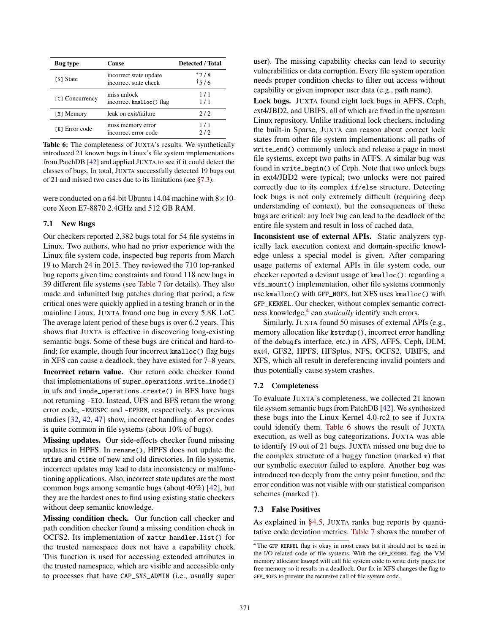<span id="page-10-0"></span>

| Bug type        | Cause                                           | <b>Detected / Total</b> |
|-----------------|-------------------------------------------------|-------------------------|
| [S] State       | incorrect state update<br>incorrect state check | $*7/8$<br>15/6          |
| [C] Concurrency | miss unlock<br>incorrect kmalloc() flag         | 1/1<br>1/1              |
| [M] Memory      | leak on exit/failure                            | 2/2                     |
| [E] Error code  | miss memory error<br>incorrect error code       | 1/1<br>2/2              |

Table 6: The completeness of JUXTA's results. We synthetically introduced 21 known bugs in Linux's file system implementations from PatchDB [\[42\]](#page-15-3) and applied JUXTA to see if it could detect the classes of bugs. In total, JUXTA successfully detected 19 bugs out of 21 and missed two cases due to its limitations (see [§7.3\)](#page-10-1).

were conducted on a 64-bit Ubuntu 14.04 machine with  $8 \times 10$ core Xeon E7-8870 2.4GHz and 512 GB RAM.

## <span id="page-10-2"></span>7.1 New Bugs

Our checkers reported 2,382 bugs total for 54 file systems in Linux. Two authors, who had no prior experience with the Linux file system code, inspected bug reports from March 19 to March 24 in 2015. They reviewed the 710 top-ranked bug reports given time constraints and found 118 new bugs in 39 different file systems (see [Table 7](#page-11-0) for details). They also made and submitted bug patches during that period; a few critical ones were quickly applied in a testing branch or in the mainline Linux. JUXTA found one bug in every 5.8K LoC. The average latent period of these bugs is over 6.2 years. This shows that JUXTA is effective in discovering long-existing semantic bugs. Some of these bugs are critical and hard-tofind; for example, though four incorrect kmalloc() flag bugs in XFS can cause a deadlock, they have existed for 7–8 years.

Incorrect return value. Our return code checker found that implementations of super\_operations.write\_inode() in ufs and inode\_operations.create() in BFS have bugs not returning -EIO. Instead, UFS and BFS return the wrong error code, -ENOSPC and -EPERM, respectively. As previous studies [\[32,](#page-14-11) [42,](#page-15-3) [47\]](#page-15-14) show, incorrect handling of error codes is quite common in file systems (about 10% of bugs).

Missing updates. Our side-effects checker found missing updates in HPFS. In rename(), HPFS does not update the mtime and ctime of new and old directories. In file systems, incorrect updates may lead to data inconsistency or malfunctioning applications. Also, incorrect state updates are the most common bugs among semantic bugs (about 40%) [\[42\]](#page-15-3), but they are the hardest ones to find using existing static checkers without deep semantic knowledge.

Missing condition check. Our function call checker and path condition checker found a missing condition check in OCFS2. Its implementation of xattr\_handler.list() for the trusted namespace does not have a capability check. This function is used for accessing extended attributes in the trusted namespace, which are visible and accessible only to processes that have CAP\_SYS\_ADMIN (i.e., usually super

user). The missing capability checks can lead to security vulnerabilities or data corruption. Every file system operation needs proper condition checks to filter out access without capability or given improper user data (e.g., path name).

Lock bugs. JUXTA found eight lock bugs in AFFS, Ceph, ext4/JBD2, and UBIFS, all of which are fixed in the upstream Linux repository. Unlike traditional lock checkers, including the built-in Sparse, JUXTA can reason about correct lock states from other file system implementations: all paths of write\_end() commonly unlock and release a page in most file systems, except two paths in AFFS. A similar bug was found in write\_begin() of Ceph. Note that two unlock bugs in ext4/JBD2 were typical; two unlocks were not paired correctly due to its complex if/else structure. Detecting lock bugs is not only extremely difficult (requiring deep understanding of context), but the consequences of these bugs are critical: any lock bug can lead to the deadlock of the entire file system and result in loss of cached data.

Inconsistent use of external APIs. Static analyzers typically lack execution context and domain-specific knowledge unless a special model is given. After comparing usage patterns of external APIs in file system code, our checker reported a deviant usage of kmalloc(): regarding a vfs\_mount() implementation, other file systems commonly use kmalloc() with GFP\_NOFS, but XFS uses kmalloc() with GFP\_KERNEL. Our checker, without complex semantic correct-ness knowledge,<sup>[4](#page-10-4)</sup> can *statically* identify such errors.

Similarly, JUXTA found 50 misuses of external APIs (e.g., memory allocation like kstrdup(), incorrect error handling of the debugfs interface, etc.) in AFS, AFFS, Ceph, DLM, ext4, GFS2, HPFS, HFSplus, NFS, OCFS2, UBIFS, and XFS, which all result in dereferencing invalid pointers and thus potentially cause system crashes.

## <span id="page-10-3"></span>7.2 Completeness

To evaluate JUXTA's completeness, we collected 21 known file system semantic bugs from PatchDB [\[42\]](#page-15-3). We synthesized these bugs into the Linux Kernel 4.0-rc2 to see if JUXTA could identify them. [Table 6](#page-10-0) shows the result of JUXTA execution, as well as bug categorizations. JUXTA was able to identify 19 out of 21 bugs. JUXTA missed one bug due to the complex structure of a buggy function (marked ∗) that our symbolic executor failed to explore. Another bug was introduced too deeply from the entry point function, and the error condition was not visible with our statistical comparison schemes (marked †).

## <span id="page-10-1"></span>7.3 False Positives

As explained in [§4.5,](#page-5-1) JUXTA ranks bug reports by quantitative code deviation metrics. [Table 7](#page-11-0) shows the number of

<span id="page-10-4"></span><sup>&</sup>lt;sup>4</sup>The GFP\_KERNEL flag is okay in most cases but it should not be used in the I/O related code of file systems. With the GFP\_KERNEL flag, the VM memory allocator kswapd will call file system code to write dirty pages for free memory so it results in a deadlock. Our fix in XFS changes the flag to GFP\_NOFS to prevent the recursive call of file system code.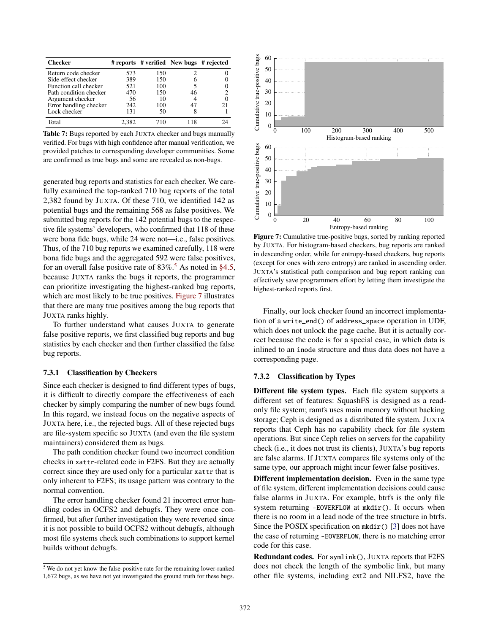<span id="page-11-0"></span>

| <b>Checker</b>         |       |     | # reports # verified New bugs # rejected |  |
|------------------------|-------|-----|------------------------------------------|--|
| Return code checker    | 573   | 150 |                                          |  |
| Side-effect checker    | 389   | 150 |                                          |  |
| Function call checker  | 521   | 100 |                                          |  |
| Path condition checker | 470   | 150 | 46                                       |  |
| Argument checker       | 56    | 10  |                                          |  |
| Error handling checker | 242   | 100 |                                          |  |
| Lock checker           | 131   | 50  |                                          |  |
| Total                  | 2.382 | 710 |                                          |  |

Table 7: Bugs reported by each JUXTA checker and bugs manually verified. For bugs with high confidence after manual verification, we provided patches to corresponding developer communities. Some are confirmed as true bugs and some are revealed as non-bugs.

generated bug reports and statistics for each checker. We carefully examined the top-ranked 710 bug reports of the total 2,382 found by JUXTA. Of these 710, we identified 142 as potential bugs and the remaining 568 as false positives. We submitted bug reports for the 142 potential bugs to the respective file systems' developers, who confirmed that 118 of these were bona fide bugs, while 24 were not—i.e., false positives. Thus, of the 710 bug reports we examined carefully, 118 were bona fide bugs and the aggregated 592 were false positives, for an overall false positive rate of  $83\%$ .<sup>[5](#page-11-1)</sup> As noted in [§4.5,](#page-5-1) because JUXTA ranks the bugs it reports, the programmer can prioritize investigating the highest-ranked bug reports, which are most likely to be true positives. [Figure 7](#page-11-2) illustrates that there are many true positives among the bug reports that JUXTA ranks highly.

To further understand what causes JUXTA to generate false positive reports, we first classified bug reports and bug statistics by each checker and then further classified the false bug reports.

#### 7.3.1 Classification by Checkers

Since each checker is designed to find different types of bugs, it is difficult to directly compare the effectiveness of each checker by simply comparing the number of new bugs found. In this regard, we instead focus on the negative aspects of JUXTA here, i.e., the rejected bugs. All of these rejected bugs are file-system specific so JUXTA (and even the file system maintainers) considered them as bugs.

The path condition checker found two incorrect condition checks in xattr-related code in F2FS. But they are actually correct since they are used only for a particular xattr that is only inherent to F2FS; its usage pattern was contrary to the normal convention.

The error handling checker found 21 incorrect error handling codes in OCFS2 and debugfs. They were once confirmed, but after further investigation they were reverted since it is not possible to build OCFS2 without debugfs, although most file systems check such combinations to support kernel builds without debugfs.

<span id="page-11-2"></span>

Figure 7: Cumulative true-positive bugs, sorted by ranking reported by JUXTA. For histogram-based checkers, bug reports are ranked in descending order, while for entropy-based checkers, bug reports (except for ones with zero entropy) are ranked in ascending order. JUXTA's statistical path comparison and bug report ranking can effectively save programmers effort by letting them investigate the highest-ranked reports first.

Finally, our lock checker found an incorrect implementation of a write\_end() of address\_space operation in UDF, which does not unlock the page cache. But it is actually correct because the code is for a special case, in which data is inlined to an inode structure and thus data does not have a corresponding page.

#### 7.3.2 Classification by Types

Different file system types. Each file system supports a different set of features: SquashFS is designed as a readonly file system; ramfs uses main memory without backing storage; Ceph is designed as a distributed file system. JUXTA reports that Ceph has no capability check for file system operations. But since Ceph relies on servers for the capability check (i.e., it does not trust its clients), JUXTA's bug reports are false alarms. If JUXTA compares file systems only of the same type, our approach might incur fewer false positives.

Different implementation decision. Even in the same type of file system, different implementation decisions could cause false alarms in JUXTA. For example, btrfs is the only file system returning -EOVERFLOW at mkdir(). It occurs when there is no room in a lead node of the tree structure in btrfs. Since the POSIX specification on mkdir() [\[3\]](#page-13-6) does not have the case of returning -EOVERFLOW, there is no matching error code for this case.

Redundant codes. For symlink(), JUXTA reports that F2FS does not check the length of the symbolic link, but many other file systems, including ext2 and NILFS2, have the

<span id="page-11-1"></span> $5$  We do not yet know the false-positive rate for the remaining lower-ranked 1,672 bugs, as we have not yet investigated the ground truth for these bugs.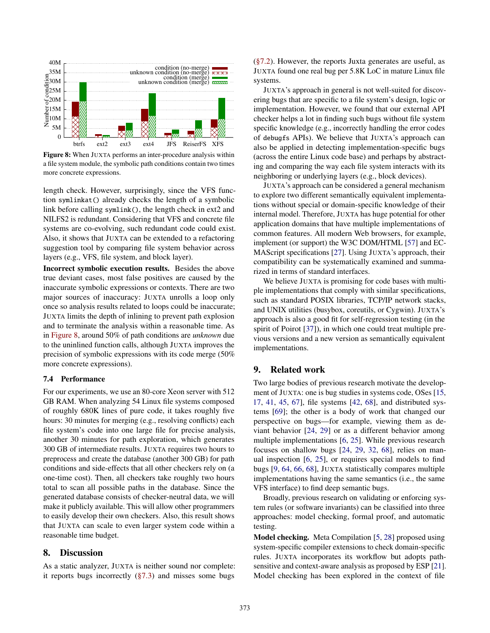<span id="page-12-2"></span>

Figure 8: When JUXTA performs an inter-procedure analysis within a file system module, the symbolic path conditions contain two times more concrete expressions.

length check. However, surprisingly, since the VFS function symlinkat() already checks the length of a symbolic link before calling symlink(), the length check in ext2 and NILFS2 is redundant. Considering that VFS and concrete file systems are co-evolving, such redundant code could exist. Also, it shows that JUXTA can be extended to a refactoring suggestion tool by comparing file system behavior across layers (e.g., VFS, file system, and block layer).

Incorrect symbolic execution results. Besides the above true deviant cases, most false positives are caused by the inaccurate symbolic expressions or contexts. There are two major sources of inaccuracy: JUXTA unrolls a loop only once so analysis results related to loops could be inaccurate; JUXTA limits the depth of inlining to prevent path explosion and to terminate the analysis within a reasonable time. As in [Figure 8,](#page-12-2) around 50% of path conditions are *unknown* due to the uninlined function calls, although JUXTA improves the precision of symbolic expressions with its code merge (50% more concrete expressions).

#### 7.4 Performance

For our experiments, we use an 80-core Xeon server with 512 GB RAM. When analyzing 54 Linux file systems composed of roughly 680K lines of pure code, it takes roughly five hours: 30 minutes for merging (e.g., resolving conflicts) each file system's code into one large file for precise analysis, another 30 minutes for path exploration, which generates 300 GB of intermediate results. JUXTA requires two hours to preprocess and create the database (another 300 GB) for path conditions and side-effects that all other checkers rely on (a one-time cost). Then, all checkers take roughly two hours total to scan all possible paths in the database. Since the generated database consists of checker-neutral data, we will make it publicly available. This will allow other programmers to easily develop their own checkers. Also, this result shows that JUXTA can scale to even larger system code within a reasonable time budget.

# <span id="page-12-0"></span>8. Discussion

As a static analyzer, JUXTA is neither sound nor complete: it reports bugs incorrectly  $(\S7.3)$  and misses some bugs [\(§7.2\)](#page-10-3). However, the reports Juxta generates are useful, as JUXTA found one real bug per 5.8K LoC in mature Linux file systems.

JUXTA's approach in general is not well-suited for discovering bugs that are specific to a file system's design, logic or implementation. However, we found that our external API checker helps a lot in finding such bugs without file system specific knowledge (e.g., incorrectly handling the error codes of debugfs APIs). We believe that JUXTA's approach can also be applied in detecting implementation-specific bugs (across the entire Linux code base) and perhaps by abstracting and comparing the way each file system interacts with its neighboring or underlying layers (e.g., block devices).

JUXTA's approach can be considered a general mechanism to explore two different semantically equivalent implementations without special or domain-specific knowledge of their internal model. Therefore, JUXTA has huge potential for other application domains that have multiple implementations of common features. All modern Web browsers, for example, implement (or support) the W3C DOM/HTML [\[57\]](#page-15-15) and EC-MAScript specifications [\[27\]](#page-14-12). Using JUXTA's approach, their compatibility can be systematically examined and summarized in terms of standard interfaces.

We believe JUXTA is promising for code bases with multiple implementations that comply with similar specifications, such as standard POSIX libraries, TCP/IP network stacks, and UNIX utilities (busybox, coreutils, or Cygwin). JUXTA's approach is also a good fit for self-regression testing (in the spirit of Poirot [\[37\]](#page-15-16)), in which one could treat multiple previous versions and a new version as semantically equivalent implementations.

## <span id="page-12-1"></span>9. Related work

Two large bodies of previous research motivate the development of JUXTA: one is bug studies in systems code, OSes [\[15,](#page-14-2) [17,](#page-14-13) [41,](#page-15-17) [45,](#page-15-18) [67\]](#page-16-0), file systems [\[42,](#page-15-3) [68\]](#page-16-1), and distributed systems [\[69\]](#page-16-2); the other is a body of work that changed our perspective on bugs—for example, viewing them as deviant behavior [\[24,](#page-14-14) [29\]](#page-14-3) or as a different behavior among multiple implementations [\[6,](#page-13-7) [25\]](#page-14-15). While previous research focuses on shallow bugs [\[24,](#page-14-14) [29,](#page-14-3) [32,](#page-14-11) [68\]](#page-16-1), relies on manual inspection [\[6,](#page-13-7) [25\]](#page-14-15), or requires special models to find bugs [\[9,](#page-13-8) [64,](#page-16-3) [66,](#page-16-4) [68\]](#page-16-1), JUXTA statistically compares multiple implementations having the same semantics (i.e., the same VFS interface) to find deep semantic bugs.

Broadly, previous research on validating or enforcing system rules (or software invariants) can be classified into three approaches: model checking, formal proof, and automatic testing.

Model checking. Meta Compilation [\[5,](#page-13-9) [28\]](#page-14-16) proposed using system-specific compiler extensions to check domain-specific rules. JUXTA incorporates its workflow but adopts pathsensitive and context-aware analysis as proposed by ESP [\[21\]](#page-14-17). Model checking has been explored in the context of file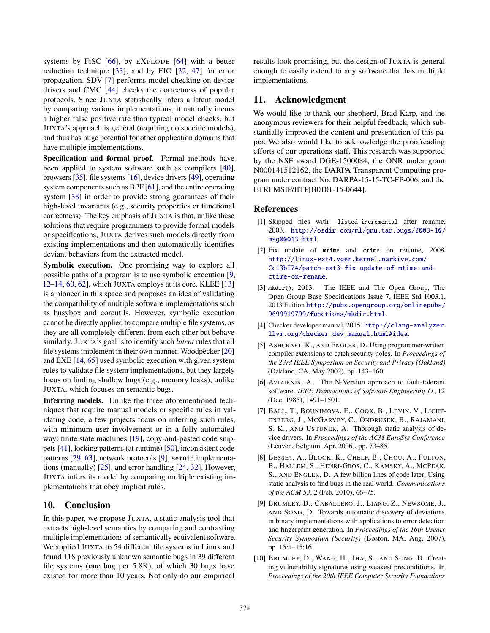systems by FiSC [\[66\]](#page-16-4), by EXPLODE [\[64\]](#page-16-3) with a better reduction technique [\[33\]](#page-14-18), and by EIO [\[32,](#page-14-11) [47\]](#page-15-14) for error propagation. SDV [\[7\]](#page-13-10) performs model checking on device drivers and CMC [\[44\]](#page-15-19) checks the correctness of popular protocols. Since JUXTA statistically infers a latent model by comparing various implementations, it naturally incurs a higher false positive rate than typical model checks, but JUXTA's approach is general (requiring no specific models), and thus has huge potential for other application domains that have multiple implementations.

Specification and formal proof. Formal methods have been applied to system software such as compilers [\[40\]](#page-15-20), browsers [\[35\]](#page-14-19), file systems [\[16\]](#page-14-20), device drivers [\[49\]](#page-15-21), operating system components such as BPF [\[61\]](#page-15-22), and the entire operating system [\[38\]](#page-15-23) in order to provide strong guarantees of their high-level invariants (e.g., security properties or functional correctness). The key emphasis of JUXTA is that, unlike these solutions that require programmers to provide formal models or specifications, JUXTA derives such models directly from existing implementations and then automatically identifies deviant behaviors from the extracted model.

Symbolic execution. One promising way to explore all possible paths of a program is to use symbolic execution [\[9,](#page-13-8) [12](#page-14-21)[–14,](#page-14-22) [60,](#page-15-1) [62\]](#page-15-24), which JUXTA employs at its core. KLEE [\[13\]](#page-14-23) is a pioneer in this space and proposes an idea of validating the compatibility of multiple software implementations such as busybox and coreutils. However, symbolic execution cannot be directly applied to compare multiple file systems, as they are all completely different from each other but behave similarly. JUXTA's goal is to identify such *latent* rules that all file systems implement in their own manner. Woodpecker [\[20\]](#page-14-24) and EXE [\[14,](#page-14-22) [65\]](#page-16-5) used symbolic execution with given system rules to validate file system implementations, but they largely focus on finding shallow bugs (e.g., memory leaks), unlike JUXTA, which focuses on semantic bugs.

Inferring models. Unlike the three aforementioned techniques that require manual models or specific rules in validating code, a few projects focus on inferring such rules, with minimum user involvement or in a fully automated way: finite state machines [\[19\]](#page-14-25), copy-and-pasted code snippets [\[41\]](#page-15-17), locking patterns (at runtime) [\[50\]](#page-15-25), inconsistent code patterns [\[29,](#page-14-3) [63\]](#page-16-6), network protocols [\[9\]](#page-13-8), setuid implementations (manually) [\[25\]](#page-14-15), and error handling [\[24,](#page-14-14) [32\]](#page-14-11). However, JUXTA infers its model by comparing multiple existing implementations that obey implicit rules.

# <span id="page-13-1"></span>10. Conclusion

In this paper, we propose JUXTA, a static analysis tool that extracts high-level semantics by comparing and contrasting multiple implementations of semantically equivalent software. We applied JUXTA to 54 different file systems in Linux and found 118 previously unknown semantic bugs in 39 different file systems (one bug per 5.8K), of which 30 bugs have existed for more than 10 years. Not only do our empirical

results look promising, but the design of JUXTA is general enough to easily extend to any software that has multiple implementations.

# 11. Acknowledgment

We would like to thank our shepherd, Brad Karp, and the anonymous reviewers for their helpful feedback, which substantially improved the content and presentation of this paper. We also would like to acknowledge the proofreading efforts of our operations staff. This research was supported by the NSF award DGE-1500084, the ONR under grant N000141512162, the DARPA Transparent Computing program under contract No. DARPA-15-15-TC-FP-006, and the ETRI MSIP/IITP[B0101-15-0644].

## References

- <span id="page-13-2"></span>[1] Skipped files with -listed-incremental after rename, 2003. [http://osdir.com/ml/gnu.tar.bugs/2003-10/](http://osdir.com/ml/gnu.tar.bugs/2003-10/msg00013.html) [msg00013.html](http://osdir.com/ml/gnu.tar.bugs/2003-10/msg00013.html).
- <span id="page-13-5"></span>[2] Fix update of mtime and ctime on rename, 2008. [http://linux-ext4.vger.kernel.narkive.com/](http://linux-ext4.vger.kernel.narkive.com/Cc13bI74/patch-ext3-fix-update-of-mtime-and-ctime-on-rename) [Cc13bI74/patch-ext3-fix-update-of-mtime-and](http://linux-ext4.vger.kernel.narkive.com/Cc13bI74/patch-ext3-fix-update-of-mtime-and-ctime-on-rename)[ctime-on-rename](http://linux-ext4.vger.kernel.narkive.com/Cc13bI74/patch-ext3-fix-update-of-mtime-and-ctime-on-rename).
- <span id="page-13-6"></span>[3] mkdir(), 2013. The IEEE and The Open Group, The Open Group Base Specifications Issue 7, IEEE Std 1003.1, 2013 Edition [http://pubs.opengroup.org/onlinepubs/](http://pubs.opengroup.org/onlinepubs/9699919799/functions/mkdir.html) [9699919799/functions/mkdir.html](http://pubs.opengroup.org/onlinepubs/9699919799/functions/mkdir.html).
- <span id="page-13-3"></span>[4] Checker developer manual, 2015. [http://clang-analyzer.](http://clang-analyzer.llvm.org/checker_dev_manual.html#idea) [llvm.org/checker\\_dev\\_manual.html#idea](http://clang-analyzer.llvm.org/checker_dev_manual.html#idea).
- <span id="page-13-9"></span>[5] ASHCRAFT, K., AND ENGLER, D. Using programmer-written compiler extensions to catch security holes. In *Proceedings of the 23rd IEEE Symposium on Security and Privacy (Oakland)* (Oakland, CA, May 2002), pp. 143–160.
- <span id="page-13-7"></span>[6] AVIZIENIS, A. The N-Version approach to fault-tolerant software. *IEEE Transactions of Software Engineering 11*, 12 (Dec. 1985), 1491–1501.
- <span id="page-13-10"></span>[7] BALL, T., BOUNIMOVA, E., COOK, B., LEVIN, V., LICHT-ENBERG, J., MCGARVEY, C., ONDRUSEK, B., RAJAMANI, S. K., AND USTUNER, A. Thorough static analysis of device drivers. In *Proceedings of the ACM EuroSys Conference* (Leuven, Belgium, Apr. 2006), pp. 73–85.
- <span id="page-13-0"></span>[8] BESSEY, A., BLOCK, K., CHELF, B., CHOU, A., FULTON, B., HALLEM, S., HENRI-GROS, C., KAMSKY, A., MCPEAK, S., AND ENGLER, D. A few billion lines of code later: Using static analysis to find bugs in the real world. *Communications of the ACM 53*, 2 (Feb. 2010), 66–75.
- <span id="page-13-8"></span>[9] BRUMLEY, D., CABALLERO, J., LIANG, Z., NEWSOME, J., AND SONG, D. Towards automatic discovery of deviations in binary implementations with applications to error detection and fingerprint generation. In *Proceedings of the 16th Usenix Security Symposium (Security)* (Boston, MA, Aug. 2007), pp. 15:1–15:16.
- <span id="page-13-4"></span>[10] BRUMLEY, D., WANG, H., JHA, S., AND SONG, D. Creating vulnerability signatures using weakest preconditions. In *Proceedings of the 20th IEEE Computer Security Foundations*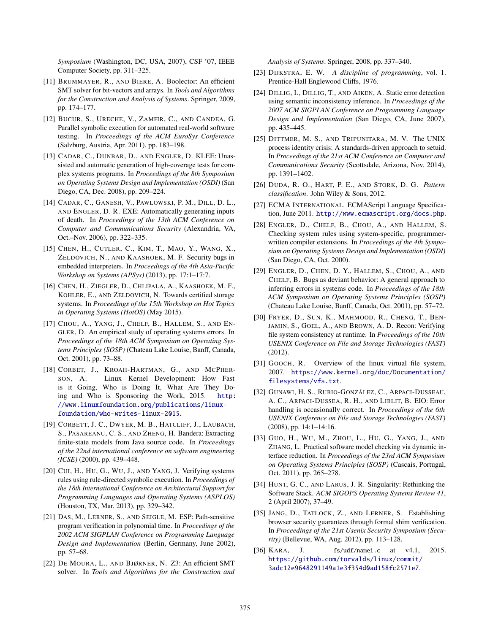*Symposium* (Washington, DC, USA, 2007), CSF '07, IEEE Computer Society, pp. 311–325.

- <span id="page-14-8"></span>[11] BRUMMAYER, R., AND BIERE, A. Boolector: An efficient SMT solver for bit-vectors and arrays. In *Tools and Algorithms for the Construction and Analysis of Systems*. Springer, 2009, pp. 174–177.
- <span id="page-14-21"></span>[12] BUCUR, S., URECHE, V., ZAMFIR, C., AND CANDEA, G. Parallel symbolic execution for automated real-world software testing. In *Proceedings of the ACM EuroSys Conference* (Salzburg, Austria, Apr. 2011), pp. 183–198.
- <span id="page-14-23"></span>[13] CADAR, C., DUNBAR, D., AND ENGLER, D. KLEE: Unassisted and automatic generation of high-coverage tests for complex systems programs. In *Proceedings of the 8th Symposium on Operating Systems Design and Implementation (OSDI)* (San Diego, CA, Dec. 2008), pp. 209–224.
- <span id="page-14-22"></span>[14] CADAR, C., GANESH, V., PAWLOWSKI, P. M., DILL, D. L., AND ENGLER, D. R. EXE: Automatically generating inputs of death. In *Proceedings of the 13th ACM Conference on Computer and Communications Security* (Alexandria, VA, Oct.–Nov. 2006), pp. 322–335.
- <span id="page-14-2"></span>[15] CHEN, H., CUTLER, C., KIM, T., MAO, Y., WANG, X., ZELDOVICH, N., AND KAASHOEK, M. F. Security bugs in embedded interpreters. In *Proceedings of the 4th Asia-Pacific Workshop on Systems (APSys)* (2013), pp. 17:1–17:7.
- <span id="page-14-20"></span>[16] CHEN, H., ZIEGLER, D., CHLIPALA, A., KAASHOEK, M. F., KOHLER, E., AND ZELDOVICH, N. Towards certified storage systems. In *Proceedings of the 15th Workshop on Hot Topics in Operating Systems (HotOS)* (May 2015).
- <span id="page-14-13"></span>[17] CHOU, A., YANG, J., CHELF, B., HALLEM, S., AND EN-GLER, D. An empirical study of operating systems errors. In *Proceedings of the 18th ACM Symposium on Operating Systems Principles (SOSP)* (Chateau Lake Louise, Banff, Canada, Oct. 2001), pp. 73–88.
- <span id="page-14-0"></span>[18] CORBET, J., KROAH-HARTMAN, G., AND MCPHER-SON, A. Linux Kernel Development: How Fast is it Going, Who is Doing It, What Are They Doing and Who is Sponsoring the Work, 2015. [http:](http://www.linuxfoundation.org/publications/linux-foundation/who-writes-linux-2015) [//www.linuxfoundation.org/publications/linux](http://www.linuxfoundation.org/publications/linux-foundation/who-writes-linux-2015)[foundation/who-writes-linux-2015](http://www.linuxfoundation.org/publications/linux-foundation/who-writes-linux-2015).
- <span id="page-14-25"></span>[19] CORBETT, J. C., DWYER, M. B., HATCLIFF, J., LAUBACH, S., PASAREANU, C. S., AND ZHENG, H. Bandera: Extracting finite-state models from Java source code. In *Proceedings of the 22nd international conference on software engineering (ICSE)* (2000), pp. 439–448.
- <span id="page-14-24"></span>[20] CUI, H., HU, G., WU, J., AND YANG, J. Verifying systems rules using rule-directed symbolic execution. In *Proceedings of the 18th International Conference on Architectural Support for Programming Languages and Operating Systems (ASPLOS)* (Houston, TX, Mar. 2013), pp. 329–342.
- <span id="page-14-17"></span>[21] DAS, M., LERNER, S., AND SEIGLE, M. ESP: Path-sensitive program verification in polynomial time. In *Proceedings of the 2002 ACM SIGPLAN Conference on Programming Language Design and Implementation* (Berlin, Germany, June 2002), pp. 57–68.
- <span id="page-14-9"></span>[22] DE MOURA, L., AND BJØRNER, N. Z3: An efficient SMT solver. In *Tools and Algorithms for the Construction and*

*Analysis of Systems*. Springer, 2008, pp. 337–340.

- <span id="page-14-7"></span>[23] DIJKSTRA, E. W. *A discipline of programming*, vol. 1. Prentice-Hall Englewood Cliffs, 1976.
- <span id="page-14-14"></span>[24] DILLIG, I., DILLIG, T., AND AIKEN, A. Static error detection using semantic inconsistency inference. In *Proceedings of the 2007 ACM SIGPLAN Conference on Programming Language Design and Implementation* (San Diego, CA, June 2007), pp. 435–445.
- <span id="page-14-15"></span>[25] DITTMER, M. S., AND TRIPUNITARA, M. V. The UNIX process identity crisis: A standards-driven approach to setuid. In *Proceedings of the 21st ACM Conference on Computer and Communications Security* (Scottsdale, Arizona, Nov. 2014), pp. 1391–1402.
- <span id="page-14-10"></span>[26] DUDA, R. O., HART, P. E., AND STORK, D. G. *Pattern classification*. John Wiley & Sons, 2012.
- <span id="page-14-12"></span>[27] ECMA INTERNATIONAL. ECMAScript Language Specification, June 2011. <http://www.ecmascript.org/docs.php>.
- <span id="page-14-16"></span>[28] ENGLER, D., CHELF, B., CHOU, A., AND HALLEM, S. Checking system rules using system-specific, programmerwritten compiler extensions. In *Proceedings of the 4th Symposium on Operating Systems Design and Implementation (OSDI)* (San Diego, CA, Oct. 2000).
- <span id="page-14-3"></span>[29] ENGLER, D., CHEN, D. Y., HALLEM, S., CHOU, A., AND CHELF, B. Bugs as deviant behavior: A general approach to inferring errors in systems code. In *Proceedings of the 18th ACM Symposium on Operating Systems Principles (SOSP)* (Chateau Lake Louise, Banff, Canada, Oct. 2001), pp. 57–72.
- <span id="page-14-6"></span>[30] FRYER, D., SUN, K., MAHMOOD, R., CHENG, T., BEN-JAMIN, S., GOEL, A., AND BROWN, A. D. Recon: Verifying file system consistency at runtime. In *Proceedings of the 10th USENIX Conference on File and Storage Technologies (FAST)* (2012).
- <span id="page-14-5"></span>[31] GOOCH, R. Overview of the linux virtual file system, 2007. [https://www.kernel.org/doc/Documentation/](https://www.kernel.org/doc/Documentation/filesystems/vfs.txt) [filesystems/vfs.txt](https://www.kernel.org/doc/Documentation/filesystems/vfs.txt).
- <span id="page-14-11"></span>[32] GUNAWI, H. S., RUBIO-GONZÁLEZ, C., ARPACI-DUSSEAU, A. C., ARPACI-DUSSEA, R. H., AND LIBLIT, B. EIO: Error handling is occasionally correct. In *Proceedings of the 6th USENIX Conference on File and Storage Technologies (FAST)* (2008), pp. 14:1–14:16.
- <span id="page-14-18"></span>[33] GUO, H., WU, M., ZHOU, L., HU, G., YANG, J., AND ZHANG, L. Practical software model checking via dynamic interface reduction. In *Proceedings of the 23rd ACM Symposium on Operating Systems Principles (SOSP)* (Cascais, Portugal, Oct. 2011), pp. 265–278.
- <span id="page-14-1"></span>[34] HUNT, G. C., AND LARUS, J. R. Singularity: Rethinking the Software Stack. *ACM SIGOPS Operating Systems Review 41*, 2 (April 2007), 37–49.
- <span id="page-14-19"></span>[35] JANG, D., TATLOCK, Z., AND LERNER, S. Establishing browser security guarantees through formal shim verification. In *Proceedings of the 21st Usenix Security Symposium (Security)* (Bellevue, WA, Aug. 2012), pp. 113–128.
- <span id="page-14-4"></span>[36] KARA, J. fs/udf/namei.c at v4.1, 2015. [https://github.com/torvalds/linux/commit/](https://github.com/torvalds/linux/commit/3adc12e9648291149a1e3f354d0ad158fc2571e7) [3adc12e9648291149a1e3f354d0ad158fc2571e7](https://github.com/torvalds/linux/commit/3adc12e9648291149a1e3f354d0ad158fc2571e7).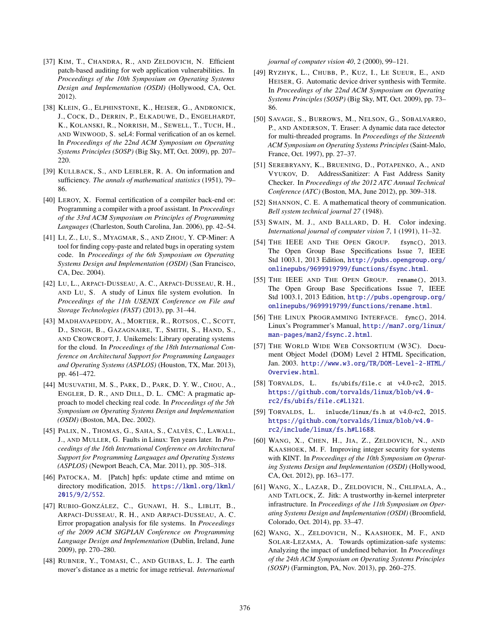- <span id="page-15-16"></span>[37] KIM, T., CHANDRA, R., AND ZELDOVICH, N. Efficient patch-based auditing for web application vulnerabilities. In *Proceedings of the 10th Symposium on Operating Systems Design and Implementation (OSDI)* (Hollywood, CA, Oct. 2012).
- <span id="page-15-23"></span>[38] KLEIN, G., ELPHINSTONE, K., HEISER, G., ANDRONICK, J., COCK, D., DERRIN, P., ELKADUWE, D., ENGELHARDT, K., KOLANSKI, R., NORRISH, M., SEWELL, T., TUCH, H., AND WINWOOD, S. seL4: Formal verification of an os kernel. In *Proceedings of the 22nd ACM Symposium on Operating Systems Principles (SOSP)* (Big Sky, MT, Oct. 2009), pp. 207– 220.
- <span id="page-15-10"></span>[39] KULLBACK, S., AND LEIBLER, R. A. On information and sufficiency. *The annals of mathematical statistics* (1951), 79– 86.
- <span id="page-15-20"></span>[40] LEROY, X. Formal certification of a compiler back-end or: Programming a compiler with a proof assistant. In *Proceedings of the 33rd ACM Symposium on Principles of Programming Languages* (Charleston, South Carolina, Jan. 2006), pp. 42–54.
- <span id="page-15-17"></span>[41] LI, Z., LU, S., MYAGMAR, S., AND ZHOU, Y. CP-Miner: A tool for finding copy-paste and related bugs in operating system code. In *Proceedings of the 6th Symposium on Operating Systems Design and Implementation (OSDI)* (San Francisco, CA, Dec. 2004).
- <span id="page-15-3"></span>[42] LU, L., ARPACI-DUSSEAU, A. C., ARPACI-DUSSEAU, R. H., AND LU, S. A study of Linux file system evolution. In *Proceedings of the 11th USENIX Conference on File and Storage Technologies (FAST)* (2013), pp. 31–44.
- <span id="page-15-0"></span>[43] MADHAVAPEDDY, A., MORTIER, R., ROTSOS, C., SCOTT, D., SINGH, B., GAZAGNAIRE, T., SMITH, S., HAND, S., AND CROWCROFT, J. Unikernels: Library operating systems for the cloud. In *Proceedings of the 18th International Conference on Architectural Support for Programming Languages and Operating Systems (ASPLOS)* (Houston, TX, Mar. 2013), pp. 461–472.
- <span id="page-15-19"></span>[44] MUSUVATHI, M. S., PARK, D., PARK, D. Y. W., CHOU, A., ENGLER, D. R., AND DILL, D. L. CMC: A pragmatic approach to model checking real code. In *Proceedings of the 5th Symposium on Operating Systems Design and Implementation (OSDI)* (Boston, MA, Dec. 2002).
- <span id="page-15-18"></span>[45] PALIX, N., THOMAS, G., SAHA, S., CALVÈS, C., LAWALL, J., AND MULLER, G. Faults in Linux: Ten years later. In *Proceedings of the 16th International Conference on Architectural Support for Programming Languages and Operating Systems (ASPLOS)* (Newport Beach, CA, Mar. 2011), pp. 305–318.
- <span id="page-15-5"></span>[46] PATOCKA, M. [Patch] hpfs: update ctime and mtime on directory modification, 2015. [https://lkml.org/lkml/](https://lkml.org/lkml/2015/9/2/552) [2015/9/2/552](https://lkml.org/lkml/2015/9/2/552).
- <span id="page-15-14"></span>[47] RUBIO-GONZÁLEZ, C., GUNAWI, H. S., LIBLIT, B., ARPACI-DUSSEAU, R. H., AND ARPACI-DUSSEAU, A. C. Error propagation analysis for file systems. In *Proceedings of the 2009 ACM SIGPLAN Conference on Programming Language Design and Implementation* (Dublin, Ireland, June 2009), pp. 270–280.
- <span id="page-15-11"></span>[48] RUBNER, Y., TOMASI, C., AND GUIBAS, L. J. The earth mover's distance as a metric for image retrieval. *International*

*journal of computer vision 40*, 2 (2000), 99–121.

- <span id="page-15-21"></span>[49] RYZHYK, L., CHUBB, P., KUZ, I., LE SUEUR, E., AND HEISER, G. Automatic device driver synthesis with Termite. In *Proceedings of the 22nd ACM Symposium on Operating Systems Principles (SOSP)* (Big Sky, MT, Oct. 2009), pp. 73– 86.
- <span id="page-15-25"></span>[50] SAVAGE, S., BURROWS, M., NELSON, G., SOBALVARRO, P., AND ANDERSON, T. Eraser: A dynamic data race detector for multi-threaded programs. In *Proceedings of the Sixteenth ACM Symposium on Operating Systems Principles* (Saint-Malo, France, Oct. 1997), pp. 27–37.
- <span id="page-15-2"></span>[51] SEREBRYANY, K., BRUENING, D., POTAPENKO, A., AND VYUKOV, D. AddressSanitizer: A Fast Address Sanity Checker. In *Proceedings of the 2012 ATC Annual Technical Conference (ATC)* (Boston, MA, June 2012), pp. 309–318.
- <span id="page-15-13"></span>[52] SHANNON, C. E. A mathematical theory of communication. *Bell system technical journal 27* (1948).
- <span id="page-15-12"></span>[53] SWAIN, M. J., AND BALLARD, D. H. Color indexing. *International journal of computer vision 7*, 1 (1991), 11–32.
- <span id="page-15-6"></span>[54] THE IEEE AND THE OPEN GROUP. fsync(), 2013. The Open Group Base Specifications Issue 7, IEEE Std 1003.1, 2013 Edition, [http://pubs.opengroup.org/](http://pubs.opengroup.org/onlinepubs/9699919799/functions/fsync.html) [onlinepubs/9699919799/functions/fsync.html](http://pubs.opengroup.org/onlinepubs/9699919799/functions/fsync.html).
- <span id="page-15-4"></span>[55] THE IEEE AND THE OPEN GROUP. rename(), 2013. The Open Group Base Specifications Issue 7, IEEE Std 1003.1, 2013 Edition, [http://pubs.opengroup.org/](http://pubs.opengroup.org/onlinepubs/9699919799/functions/rename.html) [onlinepubs/9699919799/functions/rename.html](http://pubs.opengroup.org/onlinepubs/9699919799/functions/rename.html).
- <span id="page-15-7"></span>[56] THE LINUX PROGRAMMING INTERFACE. fync(), 2014. Linux's Programmer's Manual, [http://man7.org/linux/](http://man7.org/linux/man-pages/man2/fsync.2.html) [man-pages/man2/fsync.2.html](http://man7.org/linux/man-pages/man2/fsync.2.html).
- <span id="page-15-15"></span>[57] THE WORLD WIDE WEB CONSORTIUM (W3C). Document Object Model (DOM) Level 2 HTML Specification, Jan. 2003. [http://www.w3.org/TR/DOM-Level-2-HTML/](http://www.w3.org/TR/DOM-Level-2-HTML/Overview.html) [Overview.html](http://www.w3.org/TR/DOM-Level-2-HTML/Overview.html).
- <span id="page-15-8"></span>[58] TORVALDS, L. fs/ubifs/file.c at v4.0-rc2, 2015. [https://github.com/torvalds/linux/blob/v4.0](https://github.com/torvalds/linux/blob/v4.0-rc2/fs/ubifs/file.c#L1321) [rc2/fs/ubifs/file.c#L1321](https://github.com/torvalds/linux/blob/v4.0-rc2/fs/ubifs/file.c#L1321).
- <span id="page-15-9"></span>[59] TORVALDS, L. inlucde/linux/fs.h at v4.0-rc2, 2015. [https://github.com/torvalds/linux/blob/v4.0](https://github.com/torvalds/linux/blob/v4.0-rc2/include/linux/fs.h#L1688) [rc2/include/linux/fs.h#L1688](https://github.com/torvalds/linux/blob/v4.0-rc2/include/linux/fs.h#L1688).
- <span id="page-15-1"></span>[60] WANG, X., CHEN, H., JIA, Z., ZELDOVICH, N., AND KAASHOEK, M. F. Improving integer security for systems with KINT. In *Proceedings of the 10th Symposium on Operating Systems Design and Implementation (OSDI)* (Hollywood, CA, Oct. 2012), pp. 163–177.
- <span id="page-15-22"></span>[61] WANG, X., LAZAR, D., ZELDOVICH, N., CHLIPALA, A., AND TATLOCK, Z. Jitk: A trustworthy in-kernel interpreter infrastructure. In *Proceedings of the 11th Symposium on Operating Systems Design and Implementation (OSDI)* (Broomfield, Colorado, Oct. 2014), pp. 33–47.
- <span id="page-15-24"></span>[62] WANG, X., ZELDOVICH, N., KAASHOEK, M. F., AND SOLAR-LEZAMA, A. Towards optimization-safe systems: Analyzing the impact of undefined behavior. In *Proceedings of the 24th ACM Symposium on Operating Systems Principles (SOSP)* (Farmington, PA, Nov. 2013), pp. 260–275.